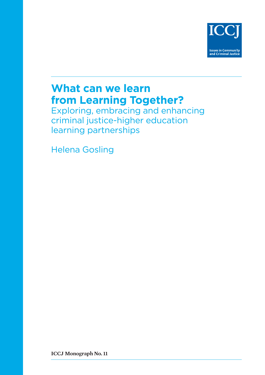

# **What can we learn from Learning Together?**

Exploring, embracing and enhancing criminal justice-higher education learning partnerships

Helena Gosling

**ICCJ Monograph No. 11**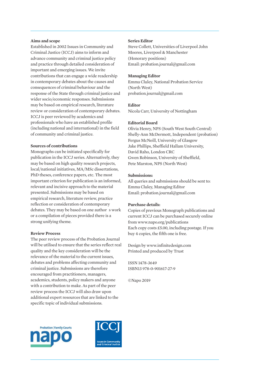#### **Aims and scope**

Established in 2002 Issues in Community and Criminal Justice (ICCJ) aims to inform and advance community and criminal justice policy and practice through detailed consideration of important and emerging issues. We invite contributions that can engage a wide readership in contemporary debates about the causes and consequences of criminal behaviour and the response of the State through criminal justice and wider socio/economic responses. Submissions may be based on empirical research, literature review or consideration of contemporary debates. ICCJ is peer reviewed by academics and professionals who have an established profile (including national and international) in the field of community and criminal justice.

#### **Sources of contributions**

Monographs can be initiated specifically for publication in the ICCJ series. Alternatively, they may be based on high quality research projects, local/national initiatives, MA/MSc dissertations, PhD theses, conference papers, etc. The most important criterion for publication is an informed, relevant and incisive approach to the material presented. Submissions may be based on empirical research, literature review, practice reflection or consideration of contemporary debates. They may be based on one author s work or a compilation of pieces provided there is a strong unifying theme.

#### **Review Process**

The peer review process of the Probation Journal will be utilised to ensure that the series reflect real quality and the key consideration will be the relevance of the material to the current issues, debates and problems affecting community and criminal justice. Submissions are therefore encouraged from practitioners, managers, academics, students, policy makers and anyone with a contribution to make. As part of the peer review process the ICCJ will also draw upon additional expert resources that are linked to the specific topic of individual submissions.

#### **Series Editor**

Steve Collett, Universities of Liverpool John Moores, Liverpool & Manchester (Honorary positions) Email: probation.journal@gmail.com

#### **Managing Editor**

Emma Cluley, National Probation Service (North West) probation.journal@gmail.com

#### **Editor**

Nicola Carr, University of Nottingham

#### **Editorial Board**

Olivia Henry, NPS (South West South Central) Shelly-Ann McDermott, Independent (probation) Fergus McNeill, University of Glasgow Jake Phillips, Sheffield Hallam University, David Raho, London CRC Gwen Robinson, University of Sheffield, Pete Marston, NPS (North West)

#### **Submissions:**

All queries and submissions should be sent to: Emma Cluley, Managing Editor Email: probation.journal@gmail.com

#### **Purchase details:**

Copies of previous Monograph publications and current ICCJ can be purchased securely online from www.napo.org/publications Each copy costs £5.00, including postage. If you buy 4 copies, the fifth one is free.

Design by www.infinitedesign.com Printed and produced by Trust

ISSN 1478-3649 ISBN13 978-0-901617-27-9

©Napo 2019



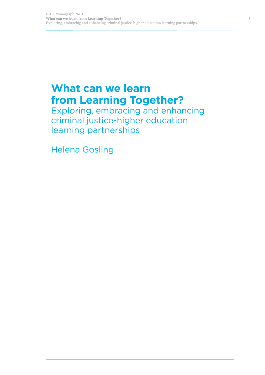# **What can we learn from Learning Together?**

Exploring, embracing and enhancing criminal justice-higher education learning partnerships

Helena Gosling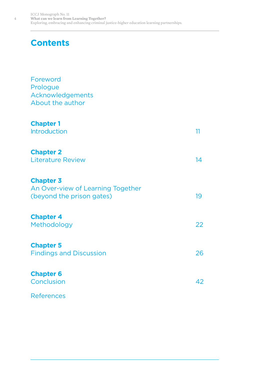# **Contents**

| Foreword<br>Prologue<br>Acknowledgements<br>About the author                       |    |
|------------------------------------------------------------------------------------|----|
| <b>Chapter 1</b><br><b>Introduction</b>                                            | 11 |
| <b>Chapter 2</b><br><b>Literature Review</b>                                       | 14 |
| <b>Chapter 3</b><br>An Over-view of Learning Together<br>(beyond the prison gates) | 19 |
| <b>Chapter 4</b><br>Methodology                                                    | 22 |
| <b>Chapter 5</b><br><b>Findings and Discussion</b>                                 | 26 |
| <b>Chapter 6</b><br>Conclusion                                                     | 42 |
| <b>References</b>                                                                  |    |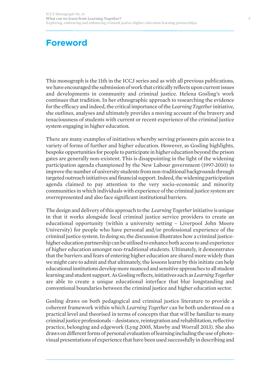# **Foreword**

This monograph is the 11th in the ICCJ series and as with all previous publications, we have encouraged the submission of work that critically reflects upon current issues and developments in community and criminal justice. Helena Gosling's work continues that tradition. In her ethnographic approach to researching the evidence for the efficacy and indeed, the critical importance of the *Learning Together* initiative, she outlines, analyses and ultimately provides a moving account of the bravery and tenaciousness of students with current or recent experience of the criminal justice system engaging in higher education.

There are many examples of initiatives whereby serving prisoners gain access to a variety of forms of further and higher education. However, as Gosling highlights, bespoke opportunities for people to participate in higher education beyond the prison gates are generally non-existent. This is disappointing in the light of the widening participation agenda championed by the New Labour government (1997-2010) to improve the number of university students from non-traditional backgrounds through targeted outreach initiatives and financial support. Indeed, the widening participation agenda claimed to pay attention to the very socio-economic and minority communities in which individuals with experience of the criminal justice system are overrepresented and also face significant institutional barriers.

The design and delivery of this approach to the *Learning Together* initiative is unique in that it works alongside local criminal justice service providers to create an educational opportunity (within a university setting – Liverpool John Moore University) for people who have personal and/or professional experience of the criminal justice system. In doing so, the discussion illustrates how a criminal justicehigher education partnership can be utilised to enhance both access to and experience of higher education amongst non-traditional students. Ultimately, it demonstrates that the barriers and fears of entering higher education are shared more widely than we might care to admit and that ultimately, the lessons learnt by this initiate can help educational institutions develop more nuanced and sensitive approaches to all student learning and student support. As Gosling reflects, initiatives such as*Learning Together* are able to create a unique educational interface that blur longstanding and conventional boundaries between the criminal justice and higher education sector.

Gosling draws on both pedagogical and criminal justice literature to provide a coherent framework within which *Learning Together* can be both understood on a practical level and theorised in terms of concepts that that will be familiar to many criminal justice professionals – desistance, reintegration and rehabilitation, reflective practice, belonging and edgework (Lyng 2005, Mawby and Worrall 2013). She also draws on different forms of personal evaluation of learning including the use of photovisual presentations of experience that have been used successfully in describing and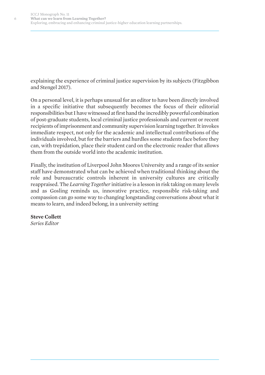explaining the experience of criminal justice supervision by its subjects (Fitzgibbon and Stengel 2017).

On a personal level, it is perhaps unusual for an editor to have been directly involved in a specific initiative that subsequently becomes the focus of their editorial responsibilities but I have witnessed at first hand the incredibly powerful combination of post-graduate students, local criminal justice professionals and current or recent recipients of imprisonment and community supervision learning together. It invokes immediate respect, not only for the academic and intellectual contributions of the individuals involved, but for the barriers and hurdles some students face before they can, with trepidation, place their student card on the electronic reader that allows them from the outside world into the academic institution.

Finally, the institution of Liverpool John Moores University and a range of its senior staff have demonstrated what can be achieved when traditional thinking about the role and bureaucratic controls inherent in university cultures are critically reappraised. The *Learning Together* initiative is a lesson in risk taking on many levels and as Gosling reminds us, innovative practice, responsible risk-taking and compassion can go some way to changing longstanding conversations about what it means to learn, and indeed belong, in a university setting

#### **Steve Collett**

*Series Editor*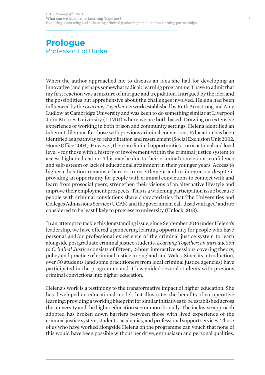## **Prologue**  Professor Lol Burke

When the author approached me to discuss an idea she had for developing an innovative (and perhaps somewhat radical) learning programme, I have to admit that my first reaction was a mixture of intrigue and trepidation. Intrigued by the idea and the possibilities but apprehensive about the challenges involved. Helena had been influenced by the *Learning Together*network established by Ruth Armstrong and Amy Ludlow at Cambridge University and was keen to do something similar at Liverpool John Moores University (LJMU) where we are both based. Drawing on extensive experience of working in both prison and community settings, Helena identified an inherent dilemma for those with previous criminal convictions. Education has been identified as a pathway to rehabilitation and resettlement (Social Exclusion Unit 2002, Home Office 2004). However, there are limited opportunities – on a national and local level - for those with a history of involvement within the criminal justice system to access higher education. This may be due to their criminal convictions, confidence and self-esteem or lack of educational attainment in their younger years. Access to higher education remains a barrier to resettlement and re-integration despite it providing an opportunity for people with criminal convictions to connect with and learn from prosocial peers, strengthen their visions of an alternative lifestyle and improve their employment prospects. This is a widening participation issue because people with criminal convictions share characteristics that The Universities and Colleges Admissions Service (UCAS) and the government call 'disadvantaged' and are considered to be least likely to progress to university (Unlock 2018).

In an attempt to tackle this longstanding issue, since September 2016 under Helena's leadership, we have offered a pioneering learning opportunity for people who have personal and/or professional experience of the criminal justice system to learn alongside postgraduate criminal justice students. *Learning Together: an introduction to Criminal Justice* consists of fifteen, 2-hour interactive sessions covering theory, policy and practice of criminal justice in England and Wales. Since its introduction, over 50 students (and some practitioners from local criminal justice agencies) have participated in the programme and it has guided several students with previous criminal convictions into higher education.

Helena's work is a testimony to the transformative impact of higher education. She has developed an educational model that illustrates the benefits of co-operative learning; providing a working blueprint for similar initiatives to be established across the university and the higher education sector more broadly. The inclusive approach adopted has broken down barriers between those with lived experience of the criminal justice system, students, academics, and professional support services. Those of us who have worked alongside Helena on the programme can vouch that none of this would have been possible without her drive, enthusiasm and personal qualities.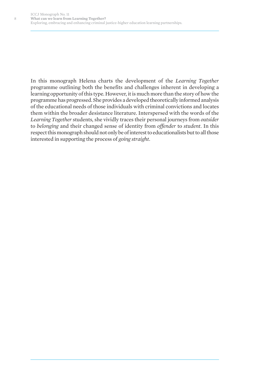8

In this monograph Helena charts the development of the *Learning Together* programme outlining both the benefits and challenges inherent in developing a learning opportunity of this type. However, it is much more than the story of how the programme has progressed. She provides a developed theoretically informed analysis of the educational needs of those individuals with criminal convictions and locates them within the broader desistance literature. Interspersed with the words of the *Learning Together* students, she vividly traces their personal journeys from *outsider* to *belonging* and their changed sense of identity from *offender* to *student*. In this respect this monograph should not only be of interest to educationalists but to all those interested in supporting the process of *going straight*.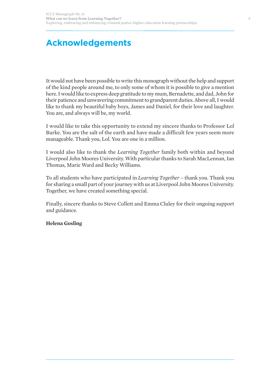# **Acknowledgements**

It would not have been possible to write this monograph without the help and support of the kind people around me, to only some of whom it is possible to give a mention here. I would like to express deep gratitude to my mum, Bernadette, and dad, John for their patience and unwavering commitment to grandparent duties. Above all, I would like to thank my beautiful baby boys, James and Daniel, for their love and laughter. You are, and always will be, my world.

I would like to take this opportunity to extend my sincere thanks to Professor Lol Burke. You are the salt of the earth and have made a difficult few years seem more manageable. Thank you, Lol. You are one in a million.

I would also like to thank the *Learning Together* family both within and beyond Liverpool John Moores University. With particular thanks to Sarah MacLennan, Ian Thomas, Marie Ward and Becky Williams.

To all students who have participated in *Learning Together* – thank you. Thank you for sharing a small part of your journey with us at Liverpool John Moores University. Together, we have created something special.

Finally, sincere thanks to Steve Collett and Emma Cluley for their ongoing support and guidance.

#### **Helena Gosling**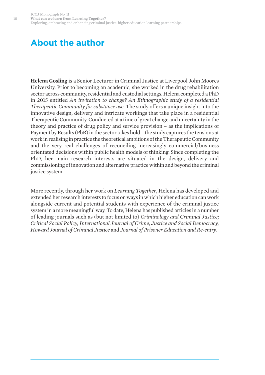# **About the author**

**Helena Gosling** is a Senior Lecturer in Criminal Justice at Liverpool John Moores University. Prior to becoming an academic, she worked in the drug rehabilitation sector across community, residential and custodial settings. Helena completed a PhD in 2015 entitled *An invitation to change? An Ethnographic study of a residential Therapeutic Community for substance use*. The study offers a unique insight into the innovative design, delivery and intricate workings that take place in a residential Therapeutic Community. Conducted at a time of great change and uncertainty in the theory and practice of drug policy and service provision – as the implications of Payment by Results (PbR) in the sector takes hold – the study captures the tensions at work in realising in practice the theoretical ambitions of the Therapeutic Community and the very real challenges of reconciling increasingly commercial/business orientated decisions within public health models of thinking. Since completing the PhD, her main research interests are situated in the design, delivery and commissioning of innovation and alternative practice within and beyond the criminal justice system.

More recently, through her work on *Learning Together*, Helena has developed and extended her research interests to focus on ways in which higher education can work alongside current and potential students with experience of the criminal justice system in a more meaningful way. To date, Helena has published articles in a number of leading journals such as (but not limited to) *Criminology and Criminal Justice; Critical Social Policy, International Journal of Crime, Justice and Social Democracy, Howard Journal of Criminal Justice* and *Journal of Prisoner Education and Re-entry*.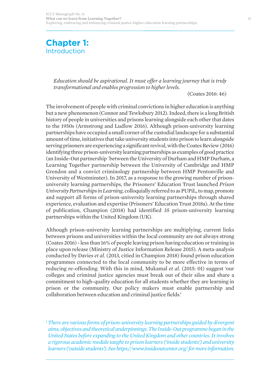## **Chapter 1:**  Introduction

*Education should be aspirational. It must offer a learning journey that is truly transformational and enables progression to higher levels.* 

(Coates 2016: 46)

The involvement of people with criminal convictions in higher education is anything but a new phenomenon (Connor and Tewksbury 2012). Indeed, there is a long British history of people in universities and prisons learning alongside each other that dates to the 1950s (Armstrong and Ludlow 2016). Although prison-university learning partnerships have occupied a small corner of the custodial landscape for a substantial amount of time, initiatives that take university students into prison to learn alongside serving prisoners are experiencing a significant revival, with the Coates Review (2016) identifying three prison-university learning partnerships as examples of good practice (an Inside-Out partnership *<sup>1</sup>*between the University of Durham and HMP Durham, a Learning Together partnership between the University of Cambridge and HMP Grendon and a convict criminology partnership between HMP Pentonville and University of Westminster). In 2017, as a response to the growing number of prisonuniversity learning partnerships, the Prisoners' Education Trust launched *Prison University Partnerships in Learning*, colloquially referred to as PUPiL, to map, promote and support all forms of prison-university learning partnerships through shared experience, evaluation and expertise (Prisoners' Education Trust 2018a). At the time of publication, Champion (2018) had identified 35 prison-university learning partnerships within the United Kingdom (UK).

Although prison-university learning partnerships are multiplying, current links between prisons and universities within the local community are not always strong (Coates 2016) - less than 16% of people leaving prison having education or training in place upon release (Ministry of Justice Information Release 2015). A meta-analysis conducted by Davies *et al*. (2013, citied in Champion 2018) found prison education programmes connected to the local community to be more effective in terms of reducing re-offending. With this in mind, Mukamal *et al*. (2015: 01) suggest 'our colleges and criminal justice agencies must break out of their silos and share a commitment to high-quality education for all students whether they are learning in prison or the community. Our policy makers must enable partnership and collaboration between education and criminal justice fields.'

<sup>1</sup> *There are various forms of prison-university learning partnerships guided by divergent aims, objectives and theoretical underpinnings. The Inside-Out programme began in the United States before expanding to the United Kingdom and other countries. It involves a rigorous academic module taught to prison learners ('inside students') and university learners ('outside students'). See https://www.insideoutcenter.org/ for more information.*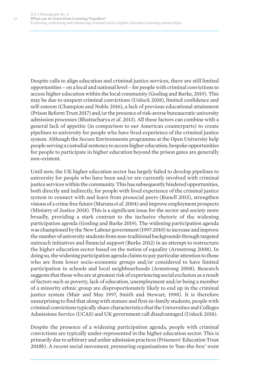Despite calls to align education and criminal justice services, there are still limited opportunities – on a local and national level – for people with criminal convictions to access higher education within the local community (Gosling and Burke, 2019). This may be due to unspent criminal convictions (Unlock 2018), limited confidence and self-esteem (Champion and Noble 2016), a lack of previous educational attainment (Prison Reform Trust 2017) and/or the presence of risk-averse bureaucratic university admission processes (Bhattacharya *et al*. 2013). All these factors can combine with a general lack of appetite (in comparison to our American counterparts) to create pipelines to university for people who have lived experience of the criminal justice system. Although the Secure Environments programme at the Open University help people serving a custodial sentence to access higher education, bespoke opportunities for people to participate in higher education beyond the prison gates are generally non-existent.

Until now, the UK higher education sector has largely failed to develop pipelines to university for people who have been and/or are currently involved with criminal justice services within the community. This has subsequently hindered opportunities, both directly and indirectly, for people with lived experience of the criminal justice system to connect with and learn from prosocial peers (Runell 2015), strengthen visions of a crime free future (Maruna *et al*. 2004) and improve employment prospects (Ministry of Justice 2018). This is a significant issue for the sector and society more broadly, providing a stark contrast to the inclusive rhetoric of the widening participation agenda (Gosling and Burke 2019). The widening participation agenda was championed by the New Labour government (1997-2010) to increase and improve the number of university students from non-traditional backgrounds through targeted outreach initiatives and financial support (Burke 2012) in an attempt to restructure the higher education sector based on the notion of equality (Armstrong 2008). In doing so, the widening participation agenda claims to pay particular attention to those who are from lower socio-economic groups and/or considered to have limited participation in schools and local neighbourhoods (Armstrong 2008). Research suggests that those who are at greatest risk of experiencing social exclusion as a result of factors such as poverty, lack of education, unemployment and/or being a member of a minority ethnic group are disproportionately likely to end up in the criminal justice system (Mair and May 1997, Smith and Stewart, 1998). It is therefore unsurprising to find that along with mature and first-in-family students, people with criminal convictions typically share characteristics that the Universities and Colleges Admissions Service (UCAS) and UK government call disadvantaged (Unlock 2018).

Despite the presence of a widening participation agenda, people with criminal convictions are typically under-represented in the higher education sector. This is primarily due to arbitrary and unfair admission practices (Prisoners' Education Trust 2018b). A recent social movement, pressuring organisations to 'ban-the-box' went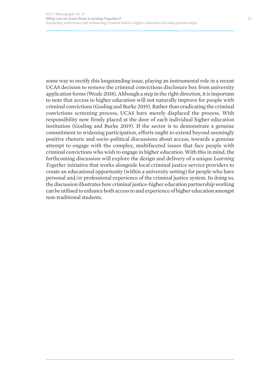some way to rectify this longstanding issue, playing an instrumental role in a recent UCAS decision to remove the criminal convictions disclosure box from university application forms (Weale 2018). Although a step in the right direction, it is important to note that access to higher education will not naturally improve for people with criminal convictions (Gosling and Burke 2019). Rather than eradicating the criminal convictions screening process, UCAS have merely displaced the process. With responsibility now firmly placed at the door of each individual higher education institution (Gosling and Burke 2019). If the sector is to demonstrate a genuine commitment to widening participation, efforts ought to extend beyond seemingly positive rhetoric and socio-political discussions about access, towards a genuine attempt to engage with the complex, multifaceted issues that face people with criminal convictions who wish to engage in higher education. With this in mind, the forthcoming discussion will explore the design and delivery of a unique *Learning Together* initiative that works alongside local criminal justice service providers to create an educational opportunity (within a university setting) for people who have personal and/or professional experience of the criminal justice system. In doing so, the discussion illustrates how criminal justice-higher education partnership working can be utilised to enhance both access to and experience of higher education amongst non-traditional students.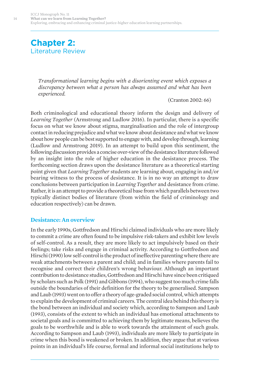## **Chapter 2:**  Literature Review

*Transformational learning begins with a disorienting event which exposes a discrepancy between what a person has always assumed and what has been experienced.* 

(Cranton 2002: 66)

Both criminological and educational theory inform the design and delivery of *Learning Together* (Armstrong and Ludlow 2016). In particular, there is a specific focus on what we know about stigma, marginalisation and the role of intergroup contact in reducing prejudice and what we know about desistance and what we know about how people can be best supported to engage with, and develop through, learning (Ludlow and Armstrong 2019). In an attempt to build upon this sentiment, the following discussion provides a concise over-view of the desistance literature followed by an insight into the role of higher education in the desistance process. The forthcoming section draws upon the desistance literature as a theoretical starting point given that *Learning Together* students are learning about, engaging in and/or bearing witness to the process of desistance. It is in no way an attempt to draw conclusions between participation in *Learning Together* and desistance from crime. Rather, it is an attempt to provide a theoretical base from which parallels between two typically distinct bodies of literature (from within the field of criminology and education respectively) can be drawn.

#### **Desistance: An overview**

In the early 1990s, Gottfredson and Hirschi claimed individuals who are more likely to commit a crime are often found to be impulsive risk-takers and exhibit low levels of self-control. As a result, they are more likely to act impulsively based on their feelings; take risks and engage in criminal activity. According to Gottfredson and Hirschi (1990) low self-control is the product of ineffective parenting where there are weak attachments between a parent and child; and in families where parents fail to recognise and correct their children's wrong behaviour. Although an important contribution to desistance studies, Gottfredson and Hirschi have since been critiqued by scholars such as Polk (1991) and Gibbons (1994), who suggest too much crime falls outside the boundaries of their definition for the theory to be generalised. Sampson and Laub (1993) went on to offer a theory of age-graded social control, which attempts to explain the development of criminal careers. The central idea behind this theory is the bond between an individual and society which, according to Sampson and Laub (1993), consists of the extent to which an individual has emotional attachments to societal goals and is committed to achieving them by legitimate means, believes the goals to be worthwhile and is able to work towards the attainment of such goals. According to Sampson and Laub (1993), individuals are more likely to participate in crime when this bond is weakened or broken. In addition, they argue that at various points in an individual's life course, formal and informal social institutions help to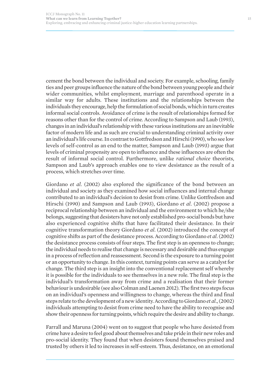cement the bond between the individual and society. For example, schooling, family ties and peer groups influence the nature of the bond between young people and their wider communities, whilst employment, marriage and parenthood operate in a similar way for adults. These institutions and the relationships between the individuals they encourage, help the formulation of social bonds, which in turn creates informal social controls. Avoidance of crime is the result of relationships formed for reasons other than for the control of crime. According to Sampson and Laub (1993), changes in an individual's relationship with these various institutions are an inevitable factor of modern life and as such are crucial to understanding criminal activity over an individual's life course. In contrast to Gottfredson and Hirschi (1990), who see low levels of self-control as an end to the matter, Sampson and Laub (1993) argue that levels of criminal propensity are open to influence and these influences are often the result of informal social control. Furthermore, unlike *rational choice* theorists, Sampson and Laub's approach enables one to view desistance as the result of a process, which stretches over time.

Giordano *et al*. (2002) also explored the significance of the bond between an individual and society as they examined how social influences and internal change contributed to an individual's decision to desist from crime. Unlike Gottfredson and Hirschi (1990) and Sampson and Laub (1993), Giordano *et al*. (2002) propose a reciprocal relationship between an individual and the environment to which he/she belongs, suggesting that desisters have not only established pro-social bonds but have also experienced cognitive shifts that have facilitated their desistance. In their cognitive transformation theory Giordano *et al*. (2002) introduced the concept of cognitive shifts as part of the desistance process. According to Giordano *et al*. (2002) the desistance process consists of four steps. The first step is an openness to change; the individual needs to realise that change is necessary and desirable and thus engage in a process of reflection and reassessment. Second is the exposure to a turning point or an opportunity to change. In this context, turning points can serve as a catalyst for change. The third step is an insight into the conventional replacement self whereby it is possible for the individuals to see themselves in a new role. The final step is the individual's transformation away from crime and a realisation that their former behaviour is undesirable (see also Colman and Laenen 2012). The first two steps focus on an individual's openness and willingness to change, whereas the third and final steps relate to the development of a new identity. According to Giordano *et al*., (2002) individuals attempting to desist from crime need to have the ability to recognise and show their openness for turning points, which require the desire and ability to change.

Farrall and Maruna (2004) went on to suggest that people who have desisted from crime have a desire to feel good about themselves and take pride in their new roles and pro-social identity. They found that when desisters found themselves praised and trusted by others it led to increases in self-esteem. Thus, desistance, on an emotional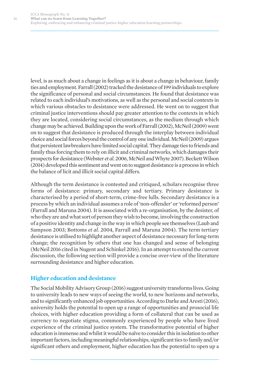level, is as much about a change in feelings as it is about a change in behaviour, family ties and employment. Farrall (2002) tracked the desistance of 199 individuals to explore the significance of personal and social circumstances. He found that desistance was related to each individual's motivations, as well as the personal and social contexts in which various obstacles to desistance were addressed. He went on to suggest that criminal justice interventions should pay greater attention to the contexts in which they are located, considering social circumstances, as the medium through which change may be achieved. Building upon the work of Farrall (2002), McNeil (2009) went on to suggest that desistance is produced through the interplay between individual choice and social forces beyond the control of any one individual. McNeil (2009) argues that persistent lawbreakers have limited social capital. They damage ties to friends and family thus forcing them to rely on illicit and criminal networks, which damages their prospects for desistance (Webster *et al*. 2006, McNeil and Whyte 2007). Beckett Wilson (2014) developed this sentiment and went on to suggest desistance is a process in which the balance of licit and illicit social capital differs.

Although the term desistance is contested and critiqued, scholars recognise three forms of desistance: primary, secondary and tertiary. Primary desistance is characterised by a period of short-term, crime-free lulls. Secondary desistance is a process by which an individual assumes a role of 'non-offender' or 'reformed person' (Farrall and Maruna 2004). It is associated with a re-organisation, by the desister, of who they are and what sort of person they wish to become, involving the construction of a positive identity and change in the way in which people see themselves (Laub and Sampson 2003; Bottoms *et al*. 2004, Farrall and Maruna 2004). The term tertiary desistance is utilised to highlight another aspect of desistance necessary for long-term change; the recognition by others that one has changed and sense of belonging (McNeil 2016 cited in Nugent and Schinkel 2016). In an attempt to extend the current discussion, the following section will provide a concise over-view of the literature surrounding desistance and higher education.

### **Higher education and desistance**

The Social Mobility Advisory Group (2016) suggest university transforms lives. Going to university leads to new ways of seeing the world, to new horizons and networks, and to significantly enhanced job opportunities. According to Darke and Aresti (2016), university holds the potential to open up a range of opportunities and prosocial life choices, with higher education providing a form of collateral that can be used as currency to negotiate stigma, commonly experienced by people who have lived experience of the criminal justice system. The transformative potential of higher education is immense and whilst it would be naïve to consider this in isolation to other important factors, including meaningful relationships, significant ties to family and/or significant others and employment, higher education has the potential to open up a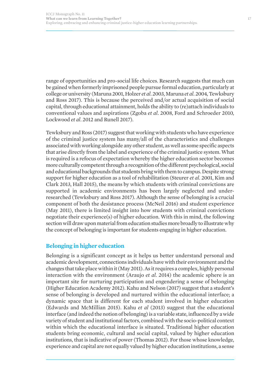range of opportunities and pro-social life choices. Research suggests that much can be gained when formerly imprisoned people pursue formal education, particularly at college or university (Maruna 2001, Holzer *et al*. 2003, Maruna *et al*. 2004, Tewksbury and Ross 2017). This is because the perceived and/or actual acquisition of social capital, through educational attainment, holds the ability to (re)attach individuals to conventional values and aspirations (Zgoba *et al*. 2008, Ford and Schroeder 2010, Lockwood *et al*. 2012 and Runell 2017).

Tewksbury and Ross (2017) suggest that working with students who have experience of the criminal justice system has many/all of the characteristics and challenges associated with working alongside any other student, as well as some specific aspects that arise directly from the label and experience of the criminal justice system. What is required is a refocus of expectation whereby the higher education sector becomes more culturally competent through a recognition of the different psychological, social and educational backgrounds that students bring with them to campus. Despite strong support for higher education as a tool of rehabilitation (Steurer *et al*. 2001, Kim and Clark 2013, Hall 2015), the means by which students with criminal convictions are supported in academic environments has been largely neglected and underresearched (Tewksbury and Ross 2017). Although the sense of belonging is a crucial component of both the desistance process (McNeil 2016) and student experience (May 2011), there is limited insight into how students with criminal convictions negotiate their experience(s) of higher education. With this in mind, the following section will draw upon material from education studies more broadly to illustrate why the concept of belonging is important for students engaging in higher education.

### **Belonging in higher education**

Belonging is a significant concept as it helps us better understand personal and academic development, connections individuals have with their environment and the changes that take place within it (May 2011). As it requires a complex, highly personal interaction with the environment (Araujo *et al*. 2014) the academic sphere is an important site for nurturing participation and engendering a sense of belonging (Higher Education Academy 2012). Kahu and Nelson (2017) suggest that a student's sense of belonging is developed and nurtured within the educational interface; a dynamic space that is different for each student involved in higher education (Edwards and McMillian 2015). Kahu *et al* (2013) suggest that the educational interface (and indeed the notion of belonging) is a variable state, influenced by a wide variety of student and institutional factors, combined with the socio-political context within which the educational interface is situated. Traditional higher education students bring economic, cultural and social capital, valued by higher education institutions, that is indicative of power (Thomas 2012). For those whose knowledge, experience and capital are not equally valued by higher education institutions, a sense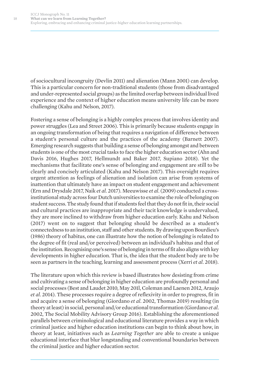of sociocultural incongruity (Devlin 2011) and alienation (Mann 2001) can develop. This is a particular concern for non-traditional students (those from disadvantaged and under-represented social groups) as the limited overlap between individual lived experience and the context of higher education means university life can be more challenging (Kahu and Nelson, 2017).

Fostering a sense of belonging is a highly complex process that involves identity and power struggles (Lea and Street 2006). This is primarily because students engage in an ongoing transformation of being that requires a navigation of difference between a student's personal culture and the practices of the academy (Barnett 2007). Emerging research suggests that building a sense of belonging amongst and between students is one of the most crucial tasks to face the higher education sector (Ahn and Davis 2016, Hughes 2017, Hellmundt and Baker 2017, Supiano 2018). Yet the mechanisms that facilitate one's sense of belonging and engagement are still to be clearly and concisely articulated (Kahu and Nelson 2017). This oversight requires urgent attention as feelings of alienation and isolation can arise from systems of inattention that ultimately have an impact on student engagement and achievement (Ern and Drysdale 2017, Naik *et al*. 2017). Meeuwisse *et al*. (2009) conducted a crossinstitutional study across four Dutch universities to examine the role of belonging on student success. The study found that if students feel that they do not fit in, their social and cultural practices are inappropriate and their tacit knowledge is undervalued, they are more inclined to withdraw from higher education early. Kahu and Nelson (2017) went on to suggest that belonging should be described as a student's connectedness to an institution, staff and other students. By drawing upon Bourdieu's (1986) theory of habitus, one can illustrate how the notion of belonging is related to the degree of fit (real and/or perceived) between an individual's habitus and that of the institution. Recognising one's sense of belonging in terms of fit also aligns with key developments in higher education. That is, the idea that the student body are to be seen as partners in the teaching, learning and assessment process (Xerri *et al*. 2018).

The literature upon which this review is based illustrates how desisting from crime and cultivating a sense of belonging in higher education are profoundly personal and social processes (Best and Laudet 2010, May 201l, Coleman and Laenen 2012, Araujo *et al*. 2014). These processes require a degree of reflexivity in order to progress, fit in and acquire a sense of belonging (Giordano *et al*. 2002, Thomas 2019) resulting (in theory at least) in social, personal and/or educational transformation (Giordano *et al*. 2002, The Social Mobility Advisory Group 2016). Establishing the aforementioned parallels between criminological and educational literature provides a way in which criminal justice and higher education institutions can begin to think about how, in theory at least, initiatives such as *Learning Together* are able to create a unique educational interface that blur longstanding and conventional boundaries between the criminal justice and higher education sector.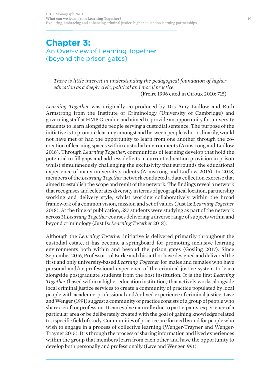## **Chapter 3:**  An Over-view of Learning Together (beyond the prison gates)

*There is little interest in understanding the pedagogical foundation of higher education as a deeply civic, political and moral practice.* 

(Freire 1996 cited in Giroux 2010: 715)

*Learning Together* was originally co-produced by Drs Amy Ludlow and Ruth Armstrong from the Institute of Criminology (University of Cambridge) and governing staff at HMP Grendon and aimed to provide an opportunity for university students to learn alongside people serving a custodial sentence. The purpose of the initiative is to promote learning amongst and between people who, ordinarily, would not have met or had the opportunity to learn from one another through the cocreation of learning spaces within custodial environments (Armstrong and Ludlow 2016). Through *Learning Together*, communities of learning develop that hold the potential to fill gaps and address deficits in current education provision in prison whilst simultaneously challenging the exclusivity that surrounds the educational experience of many university students (Armstrong and Ludlow 2016). In 2018, members of the *Learning Together* network conducted a data collection exercise that aimed to establish the scope and remit of the network. The findings reveal a network that recognises and celebrates diversity in terms of geographical location, partnership working and delivery style, whilst working collaboratively within the broad framework of a common vision, mission and set of values (Just Is: *Learning Together* 2018). At the time of publication, 587 students were studying as part of the network across 31 *Learning Together* courses delivering a diverse range of subjects within and beyond criminology (Just Is: *Learning Together* 2018).

Although the *Learning Together* initiative is delivered primarily throughout the custodial estate, it has become a springboard for promoting inclusive learning environments both within and beyond the prison gates (Gosling 2017). Since September 2016, Professor Lol Burke and this author have designed and delivered the first and only university-based *Learning Together* for males and females who have personal and/or professional experience of the criminal justice system to learn alongside postgraduate students from the host institution. It is the first *Learning Together* (based within a higher education institution) that actively works alongside local criminal justice services to create a community of practice populated by local people with academic, professional and/or lived experience of criminal justice. Lave and Wenger (1991) suggest a community of practice consists of a group of people who share a craft or profession. It can evolve naturally due to participants' experience of a particular area or be deliberately created with the goal of gaining knowledge related to a specific field of study. Communities of practice are formed by and for people who wish to engage in a process of collective learning (Wenger-Trayner and Wenger-Trayner 2015). It is through the process of sharing information and lived experiences within the group that members learn from each other and have the opportunity to develop both personally and professionally (Lave and Wenger1991).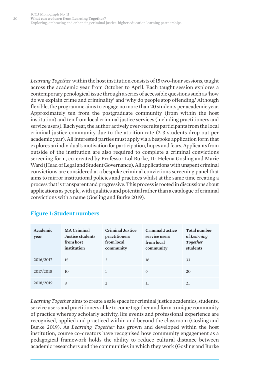*Learning Together*within the host institution consists of 15 two-hour sessions, taught across the academic year from October to April. Each taught session explores a contemporary penological issue through a series of accessible questions such as 'how do we explain crime and criminality' and 'why do people stop offending.' Although flexible, the programme aims to engage no more than 20 students per academic year. Approximately ten from the postgraduate community (from within the host institution) and ten from local criminal justice services (including practitioners and service users). Each year, the author actively over-recruits participants from the local criminal justice community due to the attrition rate (2-3 students drop out per academic year). All interested parties must apply via a bespoke application form that explores an individual's motivation for participation, hopes and fears. Applicants from outside of the institution are also required to complete a criminal convictions screening form, co-created by Professor Lol Burke, Dr Helena Gosling and Marie Ward (Head of Legal and Student Governance). All applications with unspent criminal convictions are considered at a bespoke criminal convictions screening panel that aims to mirror institutional policies and practices whilst at the same time creating a process that is transparent and progressive. This process is rooted in discussions about applications as people, with qualities and potential rather than a catalogue of criminal convictions with a name (Gosling and Burke 2019).

| Academic<br>year | <b>MA Criminal</b><br><b>Justice students</b><br>from host<br>institution | <b>Criminal Justice</b><br>practitioners<br>from local<br>community | <b>Criminal Justice</b><br>service users<br>from local<br>community | <b>Total number</b><br>of Learning<br>Together<br>students |
|------------------|---------------------------------------------------------------------------|---------------------------------------------------------------------|---------------------------------------------------------------------|------------------------------------------------------------|
| 2016/2017        | 15                                                                        | 2                                                                   | 16                                                                  | 33                                                         |
| 2017/2018        | 10                                                                        |                                                                     | 9                                                                   | 20                                                         |
| 2018/2019        | 8                                                                         | $\overline{2}$                                                      | 11                                                                  | 21                                                         |

#### **Figure 1: Student numbers**

*Learning Together* aims to create a safe space for criminal justice academics, students, service users and practitioners alike to come together and form a unique community of practice whereby scholarly activity, life events and professional experience are recognised, applied and practiced within and beyond the classroom (Gosling and Burke 2019). As *Learning Together* has grown and developed within the host institution, course co-creators have recognised how community engagement as a pedagogical framework holds the ability to reduce cultural distance between academic researchers and the communities in which they work (Gosling and Burke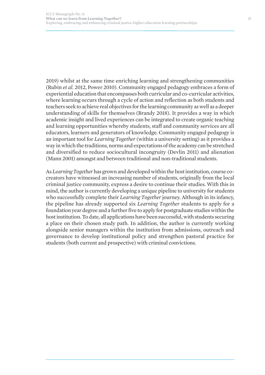2019) whilst at the same time enriching learning and strengthening communities (Rubin *et al*. 2012, Power 2010). Community engaged pedagogy embraces a form of experiential education that encompasses both curricular and co-curricular activities, where learning occurs through a cycle of action and reflection as both students and teachers seek to achieve real objectives for the learning community as well as a deeper understanding of skills for themselves (Brandy 2018). It provides a way in which academic insight and lived experiences can be integrated to create organic teaching and learning opportunities whereby students, staff and community services are all educators, learners and generators of knowledge. Community engaged pedagogy is an important tool for *Learning Together* (within a university setting) as it provides a way in which the traditions, norms and expectations of the academy can be stretched and diversified to reduce sociocultural incongruity (Devlin 2011) and alienation (Mann 2001) amongst and between traditional and non-traditional students.

As *Learning Together*has grown and developed within the host institution, course cocreators have witnessed an increasing number of students, originally from the local criminal justice community, express a desire to continue their studies. With this in mind, the author is currently developing a unique pipeline to university for students who successfully complete their *Learning Together* journey. Although in its infancy, the pipeline has already supported six *Learning Together* students to apply for a foundation year degree and a further five to apply for postgraduate studies within the host institution. To date, all applications have been successful, with students securing a place on their chosen study path. In addition, the author is currently working alongside senior managers within the institution from admissions, outreach and governance to develop institutional policy and strengthen pastoral practice for students (both current and prospective) with criminal convictions.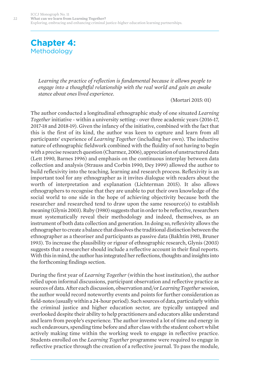## **Chapter 4: Methodology**

*Learning the practice of reflection is fundamental because it allows people to engage into a thoughtful relationship with the real world and gain an awake stance about ones lived experience.*

(Mortari 2015: 01)

The author conducted a longitudinal ethnographic study of one situated *Learning Together* initiative - within a university setting - over three academic years (2016-17, 2017-18 and 2018-19). Given the infancy of the initiative, combined with the fact that this is the first of its kind, the author was keen to capture and learn from all participants' experience of *Learning Together* (including her own). The inductive nature of ethnographic fieldwork combined with the fluidity of not having to begin with a precise research question (Charmez, 2006), appreciation of unstructured data (Lett 1990, Barnes 1996) and emphasis on the continuous interplay between data collection and analysis (Strauss and Corbin 1990, Dey 1999) allowed the author to build reflexivity into the teaching, learning and research process. Reflexivity is an important tool for any ethnographer as it invites dialogue with readers about the worth of interpretation and explanation (Lichterman 2015). It also allows ethnographers to recognise that they are unable to put their own knowledge of the social world to one side in the hope of achieving objectivity because both the researcher and researched tend to draw upon the same resource(s) to establish meaning (Glynis 2003). Ruby (1980) suggests that in order to be reflective, researchers must systematically reveal their methodology and indeed, themselves, as an instrument of both data collection and generation. In doing so, reflexivity allows the ethnographer to create a balance that dissolves the traditional distinction between the ethnographer as a theoriser and participants as passive data (Bakhtin 1981, Bruner 1993). To increase the plausibility or rigour of ethnographic research, Glynis (2003) suggests that a researcher should include a reflective account in their final reports. With this in mind, the author has integrated her reflections, thoughts and insights into the forthcoming findings section.

During the first year of *Learning Together* (within the host institution), the author relied upon informal discussions, participant observation and reflective practice as sources of data. After each discussion, observation and/or *Learning Together* session, the author would record noteworthy events and points for further consideration as field-notes (usually within a 24-hour period). Such sources of data, particularly within the criminal justice and higher education sector, are typically untapped and overlooked despite their ability to help practitioners and educators alike understand and learn from people's experience. The author invested a lot of time and energy in such endeavours, spending time before and after class with the student cohort whilst actively making time within the working week to engage in reflective practice. Students enrolled on the *Learning Together* programme were required to engage in reflective practice through the creation of a reflective journal. To pass the module,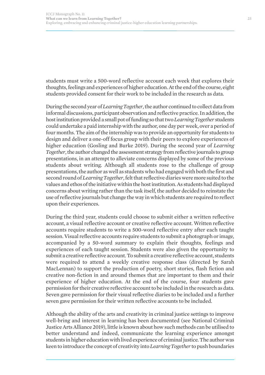students must write a 500-word reflective account each week that explores their thoughts, feelings and experiences of higher education. At the end of the course, eight students provided consent for their work to be included in the research as data.

During the second year of *Learning Together*, the author continued to collect data from informal discussions, participant observation and reflective practice. In addition, the host institution provided a small pot of funding so that two *Learning Together* students could undertake a paid internship with the author, one day per week, over a period of four months. The aim of the internship was to provide an opportunity for students to design and deliver a one-off focus group with their peers to explore experiences of higher education (Gosling and Burke 2019). During the second year of *Learning Together*, the author changed the assessment strategy from reflective journals to group presentations, in an attempt to alleviate concerns displayed by some of the previous students about writing. Although all students rose to the challenge of group presentations, the author as well as students who had engaged with both the first and second round of *Learning Together*, felt that reflective diaries were more suited to the values and ethos of the initiative within the host institution. As students had displayed concerns about writing rather than the task itself, the author decided to reinstate the use of reflective journals but change the way in which students are required to reflect upon their experiences.

During the third year, students could choose to submit either a written reflective account, a visual reflective account or creative reflective account. Written reflective accounts require students to write a 500-word reflective entry after each taught session. Visual reflective accounts require students to submit a photograph or image, accompanied by a 50-word summary to explain their thoughts, feelings and experiences of each taught session. Students were also given the opportunity to submit a creative reflective account. To submit a creative reflective account, students were required to attend a weekly creative response class (directed by Sarah MacLennan) to support the production of poetry, short stories, flash fiction and creative non-fiction in and around themes that are important to them and their experience of higher education. At the end of the course, four students gave permission for their creative reflective account to be included in the research as data. Seven gave permission for their visual reflective diaries to be included and a further seven gave permission for their written reflective accounts to be included.

Although the ability of the arts and creativity in criminal justice settings to improve well-bring and interest in learning has been documented (see National Criminal Justice Arts Alliance 2019), little is known about how such methods can be utilised to better understand and indeed, communicate the learning experience amongst students in higher education with lived experience of criminal justice. The author was keen to introduce the concept of creativity into *Learning Together* to push boundaries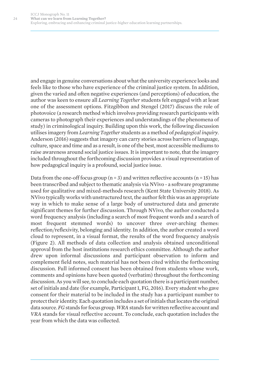and engage in genuine conversations about what the university experience looks and feels like to those who have experience of the criminal justice system. In addition, given the varied and often negative experiences (and perceptions) of education, the author was keen to ensure all *Learning Together* students felt engaged with at least one of the assessment options. Fitzgibbon and Stengel (2017) discuss the role of photovoice (a research method which involves providing research participants with cameras to photograph their experiences and understandings of the phenomena of study) in criminological inquiry. Building upon this work, the following discussion utilises imagery from *Learning Together* students as a method of *pedagogical inquiry*. Anderson (2016) suggests that imagery can carry stories across barriers of language, culture, space and time and as a result, is one of the best, most accessible mediums to raise awareness around social justice issues. It is important to note, that the imagery included throughout the forthcoming discussion provides a visual representation of how pedagogical inquiry is a profound, social justice issue.

Data from the one-off focus group ( $n = 3$ ) and written reflective accounts ( $n = 15$ ) has been transcribed and subject to thematic analysis via NVivo - a software programme used for qualitative and mixed-methods research (Kent State University 2018). As NVivo typically works with unstructured text, the author felt this was an appropriate way in which to make sense of a large body of unstructured data and generate significant themes for further discussion. Through NVivo, the author conducted a word frequency analysis (including a search of most frequent words and a search of most frequent stemmed words) to uncover three over-arching themes: reflection/reflexivity, belonging and identity. In addition, the author created a word cloud to represent, in a visual format, the results of the word frequency analysis (Figure 2). All methods of data collection and analysis obtained unconditional approval from the host institutions research ethics committee. Although the author drew upon informal discussions and participant observation to inform and complement field notes, such material has not been cited within the forthcoming discussion. Full informed consent has been obtained from students whose work, comments and opinions have been quoted (verbatim) throughout the forthcoming discussion. As you will see, to conclude each quotation there is a participant number, set of initials and date (for example, Participant 1, FG, 2016). Every student who gave consent for their material to be included in the study has a participant number to protect their identity. Each quotation includes a set of initials that locates the original data source. *FG*stands for focus group. *WRA*stands for written reflective account and *VRA* stands for visual reflective account. To conclude, each quotation includes the year from which the data was collected.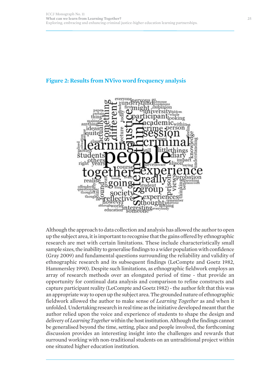## everyone ooking aking anything ideas ecture ımpact saving obation offenders thoughts $\Xi$ though 5thing education

#### **Figure 2: Results from NVivo word frequency analysis**

Although the approach to data collection and analysis has allowed the author to open up the subject area, it is important to recognise that the gains offered by ethnographic research are met with certain limitations. These include characteristically small sample sizes, the inability to generalise findings to a wider population with confidence (Gray 2009) and fundamental questions surrounding the reliability and validity of ethnographic research and its subsequent findings (LeCompte and Goetz 1982, Hammersley 1990). Despite such limitations, as ethnographic fieldwork employs an array of research methods over an elongated period of time - that provide an opportunity for continual data analysis and comparison to refine constructs and capture participant reality (LeCompte and Goetz 1982) - the author felt that this was an appropriate way to open up the subject area. The grounded nature of ethnographic fieldwork allowed the author to make sense of *Learning Together* as and when it unfolded. Undertaking research in real time as the initiative developed meant that the author relied upon the voice and experience of students to shape the design and delivery of *Learning Together*within the host institution. Although the findings cannot be generalised beyond the time, setting, place and people involved, the forthcoming discussion provides an interesting insight into the challenges and rewards that surround working with non-traditional students on an untraditional project within one situated higher education institution.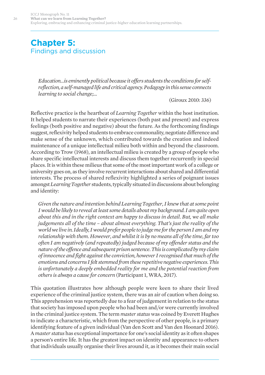## **Chapter 5:**  Findings and discussion

*Education…is eminently political because it offers students the conditions for selfreflection, a self-managed life and critical agency. Pedagogy in this sense connects learning to social change;...* 

(Giroux 2010: 336)

Reflective practice is the heartbeat of *Learning Together* within the host institution. It helped students to narrate their experiences (both past and present) and express feelings (both positive and negative) about the future. As the forthcoming findings suggest, reflexivity helped students to embrace commonality, negotiate difference and make sense of the unknown, which contributed towards the creation and indeed maintenance of a unique intellectual milieu both within and beyond the classroom. According to Trow (1968), an intellectual milieu is created by a group of people who share specific intellectual interests and discuss them together recurrently in special places. It is within these milieus that some of the most important work of a college or university goes on, as they involve recurrent interactions about shared and differential interests. The process of shared reflexivity highlighted a series of poignant issues amongst *Learning Together* students, typically situated in discussions about belonging and identity:

*Given the nature and intention behind Learning Together, I knew that at some point I would be likely to reveal at least some details about my background. I am quite open about this and in the right context am happy to discuss in detail. But, we all make judgements all of the time – about almost everything. That's just the reality of the world we live in. Ideally, I would prefer people to judge me for the person I am and my relationship with them. However, and whilst it is by no means all of the time, far too often I am negatively (and repeatedly) judged because of my offender status and the nature of the offence and subsequent prison sentence. This is complicated by my claim of innocence and fight against the conviction, however I recognised that much of the emotions and concerns I felt stemmed from these repetitive negative experiences. This is unfortunately a deeply embedded reality for me and the potential reaction from others is always a cause for concern* (Participant 1, WRA, 2017).

This quotation illustrates how although people were keen to share their lived experience of the criminal justice system, there was an air of caution when doing so. This apprehension was reportedly due to a fear of judgement in relation to the status that society has imposed upon people who had been and/or were currently involved in the criminal justice system. The term *master status* was coined by Everett Hughes to indicate a characteristic, which from the perspective of other people, is a primary identifying feature of a given individual (Van den Scott and Van den Hoonard 2016). A *master status* has exceptional importance for one's social identity as it often shapes a person's entire life. It has the greatest impact on identity and appearance to others that individuals usually organise their lives around it, as it becomes their main social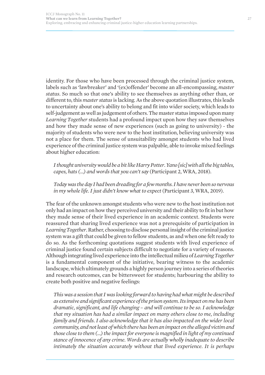identity. For those who have been processed through the criminal justice system, labels such as 'lawbreaker' and '(ex)offender' become an all-encompassing, *master status*. So much so that one's ability to see themselves as anything other than, or different to, this *master status*is lacking. As the above quotation illustrates, this leads to uncertainty about one's ability to belong and fit into wider society, which leads to self-judgement as well as judgement of others. The master status imposed upon many *Learning Together* students had a profound impact upon how they saw themselves and how they made sense of new experiences (such as going to university) - the majority of students who were new to the host institution, believing university was not a place for them. The sense of unsuitability amongst students who had lived experience of the criminal justice system was palpable, able to invoke mixed feelings about higher education:

*I thought university would be a bit like Harry Potter. Yano [sic] with all the big tables, capes, hats (…) and words that you can't say* (Participant 2, WRA, 2018).

*Today was the day I had been dreading for a few months. I have never been so nervous in my whole life. I just didn't know what to expect* (Participant 3, WRA, 2019).

The fear of the unknown amongst students who were new to the host institution not only had an impact on how they perceived university and their ability to fit in but how they made sense of their lived experience in an academic context. Students were reassured that sharing lived experience was not a prerequisite of participation in *Learning Together*. Rather, choosing to disclose personal insight of the criminal justice system was a gift that could be given to fellow students, as and when one felt ready to do so. As the forthcoming quotations suggest students with lived experience of criminal justice found certain subjects difficult to negotiate for a variety of reasons. Although integrating lived experience into the intellectual milieu of *Learning Together* is a fundamental component of the initiative, bearing witness to the academic landscape, which ultimately grounds a highly person journey into a series of theories and research outcomes, can be bittersweet for students; harbouring the ability to create both positive and negative feelings:

*This was a session that I was looking forward to having had what might be described as extensive and significant experience of the prison system. Its impact on me has been dramatic, significant, and life changing – and will continue to be so. I acknowledge that my situation has had a similar impact on many others close to me, including family and friends. I also acknowledge that it has also impacted on the wider local community, and not least of which there has been an impact on the alleged victim and those close to them (…) the impact for everyone is magnified in light of my continued stance of innocence of any crime. Words are actually wholly inadequate to describe intimately the situation accurately without that lived experience. It is perhaps*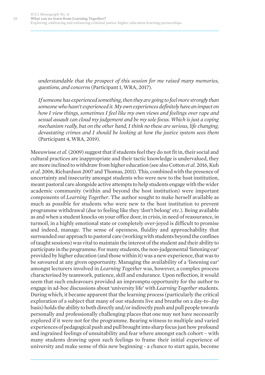*understandable that the prospect of this session for me raised many memories, questions, and concerns*(Participant 1, WRA, 2017).

*If someone has experienced something, then they are going to feel more strongly than someone who hasn't experienced it. My own experiences definitely have an impact on how I view things, sometimes I feel like my own views and feelings over rape and sexual assault can cloud my judgement and be my sole focus. Which is just a coping mechanism really, but on the other hand, I think no these are serious, life changing, devastating crimes and I should be looking at how the justice system sees them* (Participant 4, WRA, 2019).

Meeuwisse *et al*. (2009) suggest that if students feel they do not fit in, their social and cultural practices are inappropriate and their tactic knowledge is undervalued, they are more inclined to withdraw from higher education (see also Cotton *et al*. 2016, Kuh *et al*. 2006, Richardson 2007 and Thomas, 2011). This, combined with the presence of uncertainty and insecurity amongst students who were new to the host institution, meant pastoral care alongside active attempts to help students engage with the wider academic community (within and beyond the host institution) were important components of *Learning Together*. The author sought to make herself available as much as possible for students who were new to the host institution to prevent programme withdrawal (due to feeling like they 'don't belong' etc.). Being available as and when a student knocks on your office door, in crisis, in need of reassurance, in turmoil, in a highly emotional state or completely over-joyed is difficult to promise and indeed, manage. The sense of openness, fluidity and approachability that surrounded our approach to pastoral care (working with students beyond the confines of taught sessions) was vital to maintain the interest of the student and their ability to participate in the programme. For many students, the non-judgemental 'listening ear' provided by higher education (and those within it) was a new experience, that was to be savoured at any given opportunity. Managing the availability of a 'listening ear' amongst lecturers involved in *Learning Together* was, however, a complex process characterised by teamwork, patience, skill and endurance. Upon reflection, it would seem that such endeavours provided an impromptu opportunity for the author to engage in ad-hoc discussions about 'university life' with *Learning Together* students. During which, it became apparent that the learning process (particularly the critical exploration of a subject that many of our students live and breathe on a day-to-day basis) holds the ability to both directly and/or indirectly push and pull people towards personally and professionally challenging places that one may not have necessarily explored if it were not for the programme. Bearing witness to multiple and varied experiences of pedagogical push and pull brought into sharp focus just how profound and ingrained feelings of unsuitability and fear where amongst each cohort – with many students drawing upon such feelings to frame their initial experience of university and make sense of this new beginning - a chance to start again, become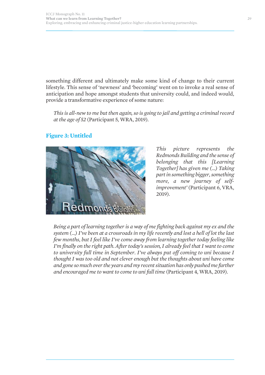something different and ultimately make some kind of change to their current lifestyle. This sense of 'newness' and 'becoming' went on to invoke a real sense of anticipation and hope amongst students that university could, and indeed would, provide a transformative experience of some nature:

*This is all-new to me but then again, so is going to jail and getting a criminal record at the age of 52* (Participant 5, WRA, 2019).



monds

### **Figure 3: Untitled**

*This picture represents the Redmonds Building and the sense of belonging that this [Learning Together] has given me (…) Taking part in something bigger, something more, a new journey of selfimprovement'* (Participant 6, VRA, 2019).

*Being a part of learning together is a way of me fighting back against my ex and the system (…) I've been at a crossroads in my life recently and lost a hell of lot the last few months, but I feel like I've come away from learning together today feeling like I'm finally on the right path. After today's session, I already feel that I want to come to university full time in September. I've always put off coming to uni because I thought I was too old and not clever enough but the thoughts about uni have come and gone so much over the years and my recent situation has only pushed me further and encouraged me to want to come to uni full time* (Participant 4, WRA, 2019).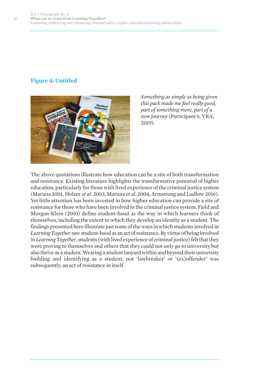## **Figure 4: Untitled**



*Something as simple as being given this pack made me feel really good, part of something more, part of a new journey* (Participant 6, VRA, 2019).

The above quotations illustrate how education can be a site of both transformation and resistance. Existing literature highlights the transformative potential of higher education, particularly for those with lived experience of the criminal justice system (Maruna 2001, Holzer *et al*. 2003, Maruna *et al*. 2004, Armstrong and Ludlow 2016). Yet little attention has been invested in how higher education can provide a site of resistance for those who have been involved in the criminal justice system. Field and Morgan-Klein (2010) define student-hood as the way in which learners think of themselves, including the extent to which they develop an identity as a student. The findings presented here illustrate just some of the ways in which students involved in *Learning Together* saw student-hood as an act of resistance. By virtue of being involved in *Learning Together*, students (with lived experience of criminal justice) felt that they were proving to themselves and others that they could not only go to university but also thrive as a student. Wearing a student lanyard within and beyond their university building and identifying as a student, not 'lawbreaker' or '(ex)offender' was subsequently, an act of resistance in itself.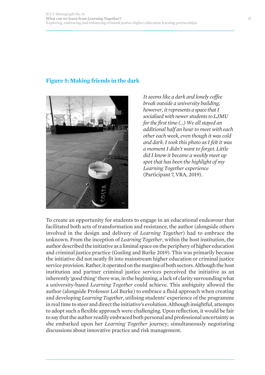### **Figure 5: Making friends in the dark**



*It seems like a dark and lonely coffee break outside a university building, however, it represents a space that I socialised with newer students to LJMU for the first time (…) We all stayed an additional half an hour to meet with each other each week, even though it was cold and dark. I took this photo as I felt it was a moment I didn't want to forget. Little did I know it became a weekly meet up spot that has been the highlight of my Learning Together experience* (Participant 7, VRA, 2019).

To create an opportunity for students to engage in an educational endeavour that facilitated both acts of transformation and resistance, the author (alongside others involved in the design and delivery of *Learning Together*) had to embrace the unknown. From the inception of *Learning Together*, within the host institution, the author described the initiative as a liminal space on the periphery of higher education and criminal justice practice (Gosling and Burke 2019). This was primarily because the initiative did not neatly fit into mainstream higher education or criminal justice service provision. Rather, it operated on the margins of both sectors. Although the host institution and partner criminal justice services perceived the initiative as an inherently 'good thing' there was, in the beginning, a lack of clarity surrounding what a university-based *Learning Together* could achieve. This ambiguity allowed the author (alongside Professor Lol Burke) to embrace a fluid approach when creating and developing *Learning Together*, utilising students' experience of the programme in real time to steer and direct the initiative's evolution. Although insightful, attempts to adopt such a flexible approach were challenging. Upon reflection, it would be fair to say that the author readily embraced both personal and professional uncertainty as she embarked upon her *Learning Together* journey; simultaneously negotiating discussions about innovative practice and risk management.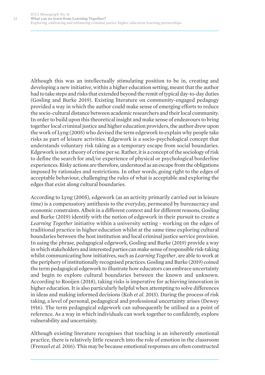Although this was an intellectually stimulating position to be in, creating and developing a new initiative, within a higher education setting, meant that the author had to take steps and risks that extended beyond the remit of typical day-to-day duties (Gosling and Burke 2019). Existing literature on community-engaged pedagogy provided a way in which the author could make sense of emerging efforts to reduce the socio-cultural distance between academic researchers and their local community. In order to build upon this theoretical insight and make sense of endeavours to bring together local criminal justice and higher education providers, the author drew upon the work of Lyng (2005) who devised the term edgework to explain why people take risks as part of leisure activities. Edgework is a socio-psychological concept that understands voluntary risk taking as a temporary escape from social boundaries. Edgework is not a theory of crime per se. Rather, it is a concept of the sociology of risk to define the search for and/or experience of physical or psychological borderline experiences. Risky actions are therefore, understood as an escape from the obligations imposed by rationales and restrictions. In other words, going right to the edges of acceptable behaviour, challenging the rules of what is acceptable and exploring the edges that exist along cultural boundaries.

According to Lyng (2005), edgework (as an activity primarily carried out in leisure time) is a compensatory antithesis to the everyday, permeated by bureaucracy and economic constraints. Albeit in a different context and for different reasons, Gosling and Burke (2019) identify with the notion of edgework in their pursuit to create a *Learning Together* initiative within a university setting - working on the edges of traditional practice in higher education whilst at the same time exploring cultural boundaries between the host institution and local criminal justice service provision. In using the phrase, pedagogical edgework, Gosling and Burke (2019) provide a way in which stakeholders and interested parties can make sense of responsible risk-taking whilst communicating how initiatives, such as *Learning Together*, are able to work at the periphery of institutionally recognised practices. Gosling and Burke (2019) coined the term pedagogical edgework to illustrate how educators can embrace uncertainty and begin to explore cultural boundaries between the known and unknown. According to Rooijen (2018), taking risks is imperative for achieving innovation in higher education. It is also particularly helpful when attempting to solve differences in ideas and making informed decisions (Koh *et al*. 2015). During the process of risk taking, a level of personal, pedagogical and professional uncertainty arises (Dewey 1916). The term pedagogical edgework can subsequently be utilised as a point of reference. As a way in which individuals can work together to confidently, explore vulnerability and uncertainty.

Although existing literature recognises that teaching is an inherently emotional practice, there is relatively little research into the role of emotion in the classroom (Frenzel *et al*. 2016). This may be because emotional responses are often constructed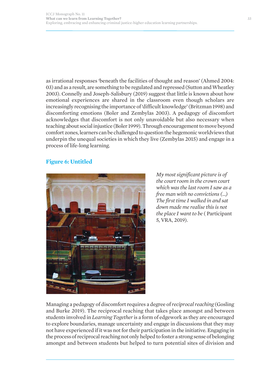as irrational responses 'beneath the facilities of thought and reason' (Ahmed 2004: 03) and as a result, are something to be regulated and repressed (Sutton and Wheatley 2003). Connelly and Joseph-Salisbury (2019) suggest that little is known about how emotional experiences are shared in the classroom even though scholars are increasingly recognising the importance of 'difficult knowledge' (Britzman 1998) and discomforting emotions (Boler and Zembylas 2003). A pedagogy of discomfort acknowledges that discomfort is not only unavoidable but also necessary when teaching about social injustice (Boler 1999). Through encouragement to move beyond comfort zones, learners can be challenged to question the hegemonic worldviews that underpin the unequal societies in which they live (Zembylas 2015) and engage in a process of life-long learning.

#### **Figure 6: Untitled**



*My most significant picture is of the court room in the crown court which was the last room I saw as a free man with no convictions (…) The first time I walked in and sat down made me realise this is not the place I want to be* ( Participant 5, VRA, 2019).

Managing a pedagogy of discomfort requires a degree of *reciprocal reaching* (Gosling and Burke 2019). The reciprocal reaching that takes place amongst and between students involved in *Learning Together* is a form of edgework as they are encouraged to explore boundaries, manage uncertainty and engage in discussions that they may not have experienced if it was not for their participation in the initiative. Engaging in the process of reciprocal reaching not only helped to foster a strong sense of belonging amongst and between students but helped to turn potential sites of division and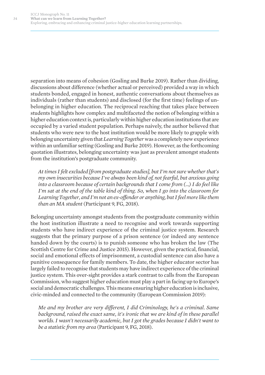separation into means of cohesion (Gosling and Burke 2019). Rather than dividing, discussions about difference (whether actual or perceived) provided a way in which students bonded, engaged in honest, authentic conversations about themselves as individuals (rather than students) and disclosed (for the first time) feelings of unbelonging in higher education. The reciprocal reaching that takes place between students highlights how complex and multifaceted the notion of belonging within a higher education context is, particularly within higher education institutions that are occupied by a varied student population. Perhaps naively, the author believed that students who were new to the host institution would be more likely to grapple with belonging uncertainty given that *Learning Together*was a completely new experience within an unfamiliar setting (Gosling and Burke 2019). However, as the forthcoming quotation illustrates, belonging uncertainty was just as prevalent amongst students from the institution's postgraduate community.

*At times I felt excluded [from postgraduate studies], but I'm not sure whether that's my own insecurities because I've always been kind of, not fearful, but anxious going into a classroom because of certain backgrounds that I come from (…) I do feel like I'm sat at the end of the table kind of thing. So, when I go into the classroom for Learning Together, and I'm not an ex-offender or anything, but I feel more like them than an MA student* (Participant 9, FG, 2018).

Belonging uncertainty amongst students from the postgraduate community within the host institution illustrate a need to recognise and work towards supporting students who have indirect experience of the criminal justice system. Research suggests that the primary purpose of a prison sentence (or indeed any sentence handed down by the courts) is to punish someone who has broken the law (The Scottish Centre for Crime and Justice 2015). However, given the practical, financial, social and emotional effects of imprisonment, a custodial sentence can also have a punitive consequence for family members. To date, the higher educator sector has largely failed to recognise that students may have indirect experience of the criminal justice system. This over-sight provides a stark contrast to calls from the European Commission, who suggest higher education must play a part in facing up to Europe's social and democratic challenges. This means ensuring higher education is inclusive, civic-minded and connected to the community (European Commission 2019):

*Me and my brother are very different, I did Criminology, he's a criminal. Same background, raised the exact same, it's ironic that we are kind of in these parallel worlds. I wasn't necessarily academic, but I got the grades because I didn't want to be a statistic from my area* (Participant 9, FG, 2018).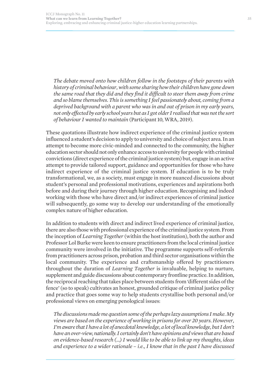*The debate moved onto how children follow in the footsteps of their parents with history of criminal behaviour, with some sharing how their children have gone down the same road that they did and they find it difficult to steer them away from crime and so blame themselves. This is something I feel passionately about, coming from a deprived background with a parent who was in and out of prison in my early years, not only effected by early school years but as I got older I realised that was not the sort of behaviour I wanted to maintain* (Participant 10, WRA, 2019).

These quotations illustrate how indirect experience of the criminal justice system influenced a student's decision to apply to university and choice of subject area. In an attempt to become more civic-minded and connected to the community, the higher education sector should not only enhance access to university for people with criminal convictions (direct experience of the criminal justice system) but, engage in an active attempt to provide tailored support, guidance and opportunities for those who have indirect experience of the criminal justice system. If education is to be truly transformational, we, as a society, must engage in more nuanced discussions about student's personal and professional motivations, experiences and aspirations both before and during their journey through higher education. Recognising and indeed working with those who have direct and/or indirect experiences of criminal justice will subsequently, go some way to develop our understanding of the emotionally complex nature of higher education.

In addition to students with direct and indirect lived experience of criminal justice, there are also those with professional experience of the criminal justice system. From the inception of *Learning Together* (within the host institution), both the author and Professor Lol Burke were keen to ensure practitioners from the local criminal justice community were involved in the initiative. The programme supports self-referrals from practitioners across prison, probation and third sector organisations within the local community. The experience and craftsmanship offered by practitioners throughout the duration of *Learning Together* is invaluable, helping to nurture, supplement and guide discussions about contemporary frontline practice. In addition, the reciprocal reaching that takes place between students from 'different sides of the fence' (so to speak) cultivates an honest, grounded critique of criminal justice policy and practice that goes some way to help students crystallise both personal and/or professional views on emerging penological issues:

*The discussions made me question some of the perhaps lazy assumptions I make. My views are based on the experience of working in prisons for over 20 years. However, I'm aware that I have a lot of anecdotal knowledge, a lot of local knowledge, but I don't have an over-view, nationally. I certainly don't have opinions and views that are based on evidence-based research (…) I would like to be able to link up my thoughts, ideas and experience to a wider rationale – i.e., I know that in the past I have discussed*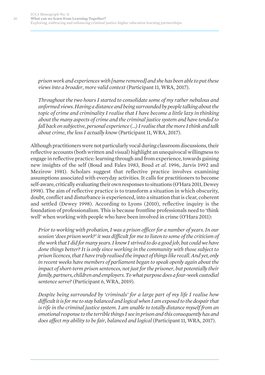*prison work and experiences with [name removed] and she has been able to put these views into a broader, more valid context* (Participant 11, WRA, 2017).

*Throughout the two hours I started to consolidate some of my rather nebulous and unformed views. Having a distance and being surrounded by people talking about the topic of crime and criminality I realise that I have become a little lazy in thinking about the many aspects of crime and the criminal justice system and have tended to fall back on subjective, personal experience (…) I realise that the more I think and talk about crime, the less I actually know* (Participant 11, WRA, 2017).

Although practitioners were not particularly vocal during classroom discussions, their reflective accounts (both written and visual) highlight an unequivocal willingness to engage in reflective practice: learning through and from experience, towards gaining new insights of the self (Boud and Fales 1983, Boud *et al*. 1996, Jarvis 1992 and Mezirow 1981). Scholars suggest that reflective practice involves examining assumptions associated with everyday activities. It calls for practitioners to become self-aware, critically evaluating their own responses to situations (O'Hara 2011, Dewey 1998). The aim of reflective practice is to transform a situation in which obscurity, doubt, conflict and disturbance is experienced, into a situation that is clear, coherent and settled (Dewey 1998). According to Lyons (2010), reflective inquiry is the foundation of professionalism. This is because frontline professionals need to 'think well' when working with people who have been involved in crime (O'Hara 2011):

*Prior to working with probation, I was a prison officer for a number of years. In our session 'does prison work?' it was difficult for me to listen to some of the criticism of the work that I did for many years. I know I strived to do a good job, but could we have done things better? It is only since working in the community with those subject to prison licences, that I have truly realised the impact of things like recall. And yet, only in recent weeks have members of parliament began to speak openly again about the impact of short-term prison sentences, not just for the prisoner, but potentially their family, partners, children and employers. To what purpose does a four-week custodial sentence serve?* (Participant 6, WRA, 2019).

*Despite being surrounded by 'criminals' for a large part of my life I realise how difficult it is for me to stay balanced and logical when I am exposed to the despair that is rife in the criminal justice system. I am unable to totally distance myself from an emotional response to the terrible things I see in prison and this consequently has and does affect my ability to be fair, balanced and logical* (Participant 11, WRA, 2017).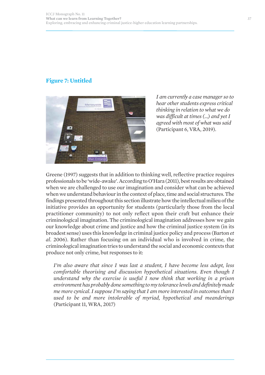### **Figure 7: Untitled**



*I am currently a case manager so to hear other students express critical thinking in relation to what we do was difficult at times (…) and yet I agreed with most of what was said* (Participant 6, VRA, 2019).

Greene (1997) suggests that in addition to thinking well, reflective practice requires professionals to be 'wide-awake'. According to O'Hara (2011), best results are obtained when we are challenged to use our imagination and consider what can be achieved when we understand behaviour in the context of place, time and social structures. The findings presented throughout this section illustrate how the intellectual milieu of the initiative provides an opportunity for students (particularly those from the local practitioner community) to not only reflect upon their craft but enhance their criminological imagination. The criminological imagination addresses how we gain our knowledge about crime and justice and how the criminal justice system (in its broadest sense) uses this knowledge in criminal justice policy and process (Barton *et al*. 2006). Rather than focusing on an individual who is involved in crime, the criminological imagination tries to understand the social and economic contexts that produce not only crime, but responses to it:

*I'm also aware that since I was last a student, I have become less adept, less comfortable theorising and discussion hypothetical situations. Even though I understand why the exercise is useful I now think that working in a prison environment has probably done something to my tolerance levels and definitely made me more cynical. I suppose I'm saying that I am more interested in outcomes than I used to be and more intolerable of myriad, hypothetical and meanderings* (Participant 11, WRA, 2017)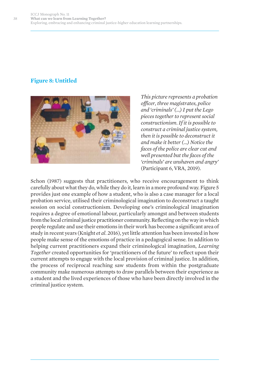### **Figure 8: Untitled**



*This picture represents a probation officer, three magistrates, police and 'criminals' (…) I put the Lego pieces together to represent social constructionism. If it is possible to construct a criminal justice system, then it is possible to deconstruct it and make it better (…) Notice the faces of the police are clear cut and well presented but the faces of the 'criminals' are unshaven and angry'* (Participant 6, VRA, 2019).

Schon (1987) suggests that practitioners, who receive encouragement to think carefully about what they do, while they do it, learn in a more profound way. Figure 5 provides just one example of how a student, who is also a case manager for a local probation service, utilised their criminological imagination to deconstruct a taught session on social constructionism. Developing one's criminological imagination requires a degree of emotional labour, particularly amongst and between students from the local criminal justice practitioner community. Reflecting on the way in which people regulate and use their emotions in their work has become a significant area of study in recent years (Knight *et al*. 2016), yet little attention has been invested in how people make sense of the emotions of practice in a pedagogical sense. In addition to helping current practitioners expand their criminological imagination, *Learning Together* created opportunities for 'practitioners of the future' to reflect upon their current attempts to engage with the local provision of criminal justice. In addition, the process of reciprocal reaching saw students from within the postgraduate community make numerous attempts to draw parallels between their experience as a student and the lived experiences of those who have been directly involved in the criminal justice system.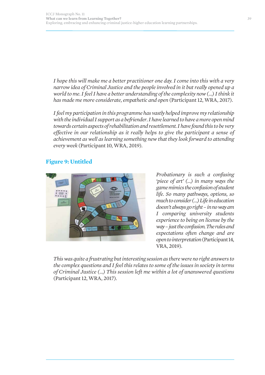*I hope this will make me a better practitioner one day. I come into this with a very narrow idea of Criminal Justice and the people involved in it but really opened up a world to me. I feel I have a better understanding of the complexity now (…) I think it has made me more considerate, empathetic and open* (Participant 12, WRA, 2017).

*I feel my participation in this programme has vastly helped improve my relationship with the individual I support as a befriender. I have learned to have a more open mind towards certain aspects of rehabilitation and resettlement. I have found this to be very effective in our relationship as it really helps to give the participant a sense of achievement as well as learning something new that they look forward to attending every week* (Participant 10, WRA, 2019).

### **Figure 9: Untitled**



*Probationary is such a confusing 'piece of art' (…) in many ways the game mimics the confusion of student life. So many pathways, options, so much to consider (…) Life in education doesn't always go right – in no way am I comparing university students experience to being on license by the way – just the confusion. The rules and expectations often change and are open to interpretation* (Participant 14, VRA, 2019).

*This was quite a frustrating but interesting session as there were no right answers to the complex questions and I feel this relates to some of the issues in society in terms of Criminal Justice (…) This session left me within a lot of unanswered questions* (Participant 12, WRA, 2017).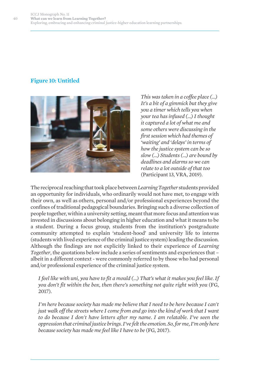### **Figure 10: Untitled**



*This was taken in a coffee place (…) It's a bit of a gimmick but they give you a timer which tells you when your tea has infused (…) I thought it captured a lot of what me and some others were discussing in the first session which had themes of 'waiting' and 'delays' in terms of how the justice system can be so slow (…) Students (…) are bound by deadlines and alarms so we can relate to a lot outside of that too* (Participant 13, VRA, 2019).

The reciprocal reaching that took place between *Learning Together* students provided an opportunity for individuals, who ordinarily would not have met, to engage with their own, as well as others, personal and/or professional experiences beyond the confines of traditional pedagogical boundaries. Bringing such a diverse collection of people together, within a university setting, meant that more focus and attention was invested in discussions about belonging in higher education and what it means to be a student. During a focus group, students from the institution's postgraduate community attempted to explain 'student-hood' and university life to interns (students with lived experience of the criminal justice system) leading the discussion. Although the findings are not explicitly linked to their experience of *Learning Together*, the quotations below include a series of sentiments and experiences that – albeit in a different context - were commonly referred to by those who had personal and/or professional experience of the criminal justice system.

*I feel like with uni, you have to fit a mould (…) That's what it makes you feel like. If you don't fit within the box, then there's something not quite right with you* (FG, 2017).

*I'm here because society has made me believe that I need to be here because I can't just walk off the streets where I come from and go into the kind of work that I want to do because I don't have letters after my name. I am relatable. I've seen the oppression that criminal justice brings. I've felt the emotion. So, for me, I'm only here because society has made me feel like I have to be* (FG, 2017).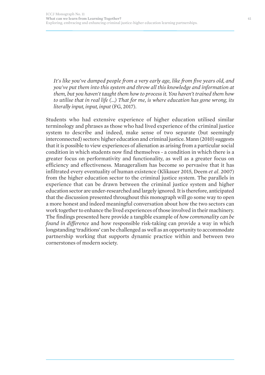*It's like you've dumped people from a very early age, like from five years old, and you've put them into this system and throw all this knowledge and information at them, but you haven't taught them how to process it. You haven't trained them how to utilise that in real life (…) That for me, is where education has gone wrong, its literally input, input, input* (FG, 2017).

Students who had extensive experience of higher education utilised similar terminology and phrases as those who had lived experience of the criminal justice system to describe and indeed, make sense of two separate (but seemingly interconnected) sectors: higher education and criminal justice. Mann (2010) suggests that it is possible to view experiences of alienation as arising from a particular social condition in which students now find themselves - a condition in which there is a greater focus on performativity and functionality, as well as a greater focus on efficiency and effectiveness. Manageralism has become so pervasive that it has infiltrated every eventuality of human existence (Klikauer 2015, Deem *et al*. 2007) from the higher education sector to the criminal justice system. The parallels in experience that can be drawn between the criminal justice system and higher education sector are under-researched and largely ignored. It is therefore, anticipated that the discussion presented throughout this monograph will go some way to open a more honest and indeed meaningful conversation about how the two sectors can work together to enhance the lived experiences of those involved in their machinery. The findings presented here provide a tangible example of *how commonality can be found in difference* and how responsible risk-taking can provide a way in which longstanding 'traditions' can be challenged as well as an opportunity to accommodate partnership working that supports dynamic practice within and between two cornerstones of modern society.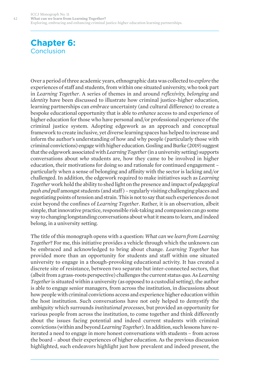## **Chapter 6:**  Conclusion

Over a period of three academic years, ethnographic data was collected to *explore* the experiences of staff and students, from within one situated university, who took part in *Learning Together*. A series of themes in and around *reflexivity, belonging* and *identity* have been discussed to illustrate how criminal justice-higher education, learning partnerships can *embrace* uncertainty (and cultural difference) to create a bespoke educational opportunity that is able to *enhance* access to and experience of higher education for those who have personal and/or professional experience of the criminal justice system. Adopting edgework as an approach and conceptual framework to create inclusive, yet diverse learning spaces has helped to increase and inform the author's understanding of how and why people (particularly those with criminal convictions) engage with higher education. Gosling and Burke (2019) suggest that the edgework associated with *Learning Together* (in a university setting) supports conversations about *who* students are, how they came to be involved in higher education, their motivations for doing so and rationale for continued engagement – particularly when a sense of belonging and affinity with the sector is lacking and/or challenged. In addition, the edgework required to make initiatives such as *Learning Together*work hold the ability to shed light on the presence and impact of *pedagogical push and pull* amongst students (and staff ) – regularly visiting challenging places and negotiating points of tension and strain. This is not to say that such experiences do not exist beyond the confines of *Learning Together*. Rather, it is an observation, albeit simple, that innovative practice, responsible risk-taking and compassion can go some way to changing longstanding conversations about what it means to learn, and indeed belong, in a university setting.

The title of this monograph opens with a question: *What can we learn from Learning Together*? For me, this initiative provides a vehicle through which the unknown can be embraced and acknowledged to bring about change. *Learning Together* has provided more than an opportunity for students and staff within one situated university to engage in a though-provoking educational activity. It has created a discrete site of resistance, between two separate but inter-connected sectors, that (albeit from a grass-roots perspective) challenges the current status quo. As *Learning Together* is situated within a university (as opposed to a custodial setting), the author is able to engage senior managers, from across the institution, in discussions about how people with criminal convictions access and experience higher education within the host institution. Such conversations have not only helped to demystify the ambiguity which surrounds *institutional processes*, but provided an opportunity for various people from across the institution, to come together and think differently about the issues facing potential and indeed current students with criminal convictions (within and beyond *Learning Together*). In addition, such lessons have reiterated a need to engage in more honest conversations with students – from across the board – about their experiences of higher education. As the previous discussion highlighted, such endeavors highlight just how prevalent and indeed present, the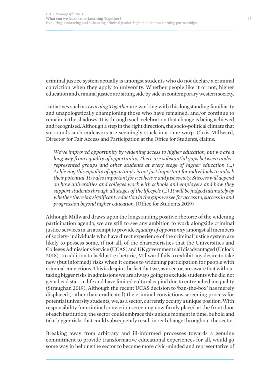criminal justice system actually is amongst students who do not declare a criminal conviction when they apply to university. Whether people like it or not, higher education and criminal justice are sitting side by side in contemporary western society.

Initiatives such as *Learning Together* are working with this longstanding familiarity and unapologetically championing those who have remained, and/or continue to remain in the shadows. It is through such celebration that change is being achieved and recognised. Although a step in the right direction, the socio-political climate that surrounds such endeavors are seemingly stuck in a time warp. Chris Millward, Director for Fair Access and Participation at the Office for Students, claims:

*We've improved opportunity by widening access to higher education, but we are a long way from equality of opportunity. There are substantial gaps between underrepresented groups and other students at every stage of higher education (…) Achieving this equality of opportunity is not just important for individuals to unlock their potential. It is also important for a cohesive and just society. Success will depend on how universities and colleges work with schools and employers and how they support students through all stages of the lifecycle (…) It will be judged ultimately by whether there is a significant reduction in the gaps we see for access to, success in and progression beyond higher education.* (Office for Students 2019)

Although Millward draws upon the longstanding positive rhetoric of the widening participation agenda, we are still to see any ambition to work alongside criminal justice services in an attempt to provide *equality of opportunity* amongst all members of society- individuals who have direct experience of the criminal justice system are likely to possess some, if not all, of the characteristics that the Universities and Colleges Admissions Service (UCAS) and UK government call disadvantaged (Unlock 2018). In addition to lacklustre rhetoric, Millward fails to exhibit any desire to take new (but informed) risks when it comes to widening participation for people with criminal convictions. This is despite the fact that we, as a sector, are aware that without taking bigger risks in admissions we are always going to exclude students who did not get a head start in life and have limited cultural capital due to entrenched inequality (Straughan 2019). Although the recent UCAS decision to 'ban-the-box' has merely displaced (rather than eradicated) the criminal convictions screening process for potential university students, we, as a sector, currently occupy a unique position. With responsibility for criminal conviction screening now firmly placed at the front door of each institution, the sector could embrace this unique moment in time, be bold and take bigger risks that could subsequently result in real change throughout the sector.

Breaking away from arbitrary and ill-informed processes towards a genuine commitment to provide transformative educational experiences for all, would go some way in helping the sector to become more civic-minded and representative of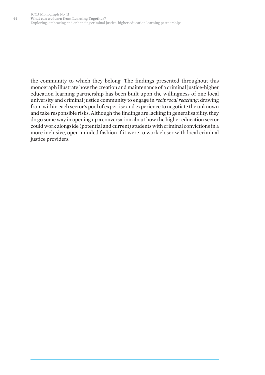the community to which they belong. The findings presented throughout this monograph illustrate how the creation and maintenance of a criminal justice-higher education learning partnership has been built upon the willingness of one local university and criminal justice community to engage in *reciprocal reaching*: drawing from within each sector's pool of expertise and experience to negotiate the unknown and take responsible risks. Although the findings are lacking in generalisability, they do go some way in opening up a conversation about how the higher education sector could work alongside (potential and current) students with criminal convictions in a more inclusive, open-minded fashion if it were to work closer with local criminal justice providers.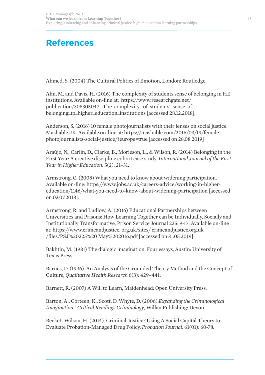# **References**

Ahmed, S. (2004) The Cultural Politics of Emotion, London: Routledge.

Ahn, M. and Davis, H. (2016) The complexity of students sense of belonging in HE institutions. Available on-line at: https://www.researchgate.net/ publication/308305047\_ The\_complexity\_ of\_students'\_sense\_of\_ belonging\_to\_higher\_education\_institutions [accessed 28.12.2018].

Anderson, S. (2016) 10 female photojournalists with their lenses on social justice. MashableUK. Available on-line at: https://mashable.com/2016/03/19/femalephotojournalists-social-justice/?europe=true [accessed on 28.08.2019]

Araújo, N., Carlin, D., Clarke, B., Morieson, L., & Wilson, R. (2014) Belonging in the First Year: A creative discipline cohort case study, *International Journal of the First Year in Higher Education*. 5(2): 21–31.

Armstrong, C. (2008) What you need to know about widening participation. Available on-line: https://www.jobs.ac.uk/careers-advice/working-in-highereducation/1146/what-you-need-to-know-about-widening-participation [accessed on 03.07.2018].

Armstrong, R. and Ludlow, A. (2016) Educational Partnerships between Universities and Prisons: How Learning Together can be Individually, Socially and Institutionally Transformative, Prison Service Journal 225: 9-17: Available on-line at: https://www.crimeandjustice. org.uk/sites/ crimeandjustice.org.uk /files/PSJ%20225%20 May%202016.pdf [accessed on 31.05.2019]

Bakhtin, M. (1981) The dialogic imagination. Four essays, Austin: University of Texas Press.

Barnes, D. (1996). An Analysis of the Grounded Theory Method and the Concept of Culture, *Qualitative Health Research* 6(3): 429–441.

Barnett, R. (2007) A Will to Learn, Maidenhead: Open University Press.

Barton, A., Corteen, K., Scott, D. Whyte, D. (2006) *Expanding the Criminological Imagination - Critical Readings Criminology*, Willan Publishing: Devon.

Beckett Wilson, H. (2014). Criminal Justice? Using A Social Capital Theory to Evaluate Probation-Managed Drug Policy, *Probation Journal*. 61(01): 60-78.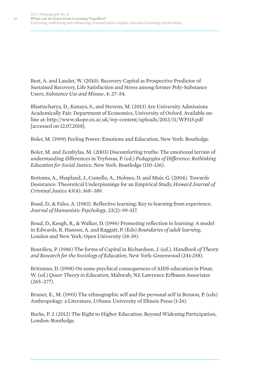Best, A. and Laudet, W. (2010). Recovery Capital as Prospective Predictor of Sustained Recovery, Life Satisfaction and Stress among former Poly-Substance Users, *Substance Use and Misuse*, 4: 27–54.

Bhattacharya, D., Kanaya, S., and Stevens, M. (2013) Are University Admissions Academically Fair. Department of Economics, University of Oxford. Available online at: http://www.skope.ox.ac.uk/wp-content/uploads/2013/11/WP115.pdf [accessed on 12.07.2018].

Boler, M. (1999) Feeling Power: Emotions and Education, New York: Routledge.

Boler, M. and Zembylas, M. (2003) Discomforting truths: The emotional terrain of understanding differences in Tryfonas, P. (ed.) *Pedagogies of Difference: Rethinking Education for Social Justice*, New York: Routledge (110–136).

Bottoms, A., Shapland, J., Costello, A., Holmes, D. and Muir, G. (2004). Towards Desistance: Theoretical Underpinnings for an Empirical Study, *Howard Journal of Criminal Justice* 43(4): 368–389.

Boud, D., & Fales, A. (1983). Reflective learning: Key to learning from experience. *Journal of Humanistic Psychology*, 23(2): 99–117.

Boud, D., Keogh, R., & Walker, D. (1996) Promoting reflection in learning: A model in Edwards, R. Hanson, A. and Raggatt, P. (Eds) *Boundaries of adult learning*, London and New York: Open University (18-39).

Bourdieu, P. (1986) The forms of Capital in Richardson, J. (ed.). *Handbook of Theory and Research for the Sociology of Education*, New York: Greenwood (241-258).

Britzman, D. (1998) On some psychical consequences of AIDS education in Pinar, W. (ed.) *Queer Theory in Education*, Mahwah, NJ: Lawrence Erlbaum Associates  $(265 - 277)$ .

Bruner, E., M. (1993) The ethnographic self and the personal self in Benson, P. (eds) Anthropology: a Literature, Urbana: University of Illinois Press (1-26).

Burke, P. J. (2012) The Right to Higher Education: Beyond Widening Participation, London: Routledge.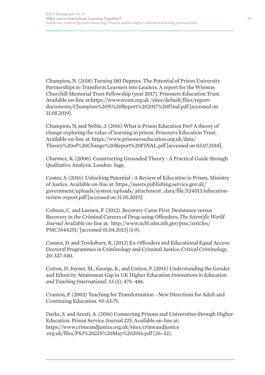Champion, N. (2018) Turning 180 Degrees. The Potential of Prison University Partnerships to Transform Learners into Leaders. A report for the Winston Churchill Memorial Trust Fellowship (year 2017). Prisoners Education Trust. Available on-line at:https://www.wcmt.org.uk /sites/default/files/reportdocuments/Champion%20N%20Report%202017%20Final.pdf [accessed on 31.05.2019].

Champion, N. and Noble, J. (2016) What is Prison Education For? A theory of change exploring the value of learning in prison. Prisoners Education Trust. Available on-line at: https://www.prisonerseducation.org.uk/data/ Theory%20of%20Change%20Report%20FINAL.pdf [accessed on 03.07.2018].

Charmez, K. (2006). Constructing Grounded Theory - A Practical Guide through Qualitative Analysis. London: Sage.

Coates, S. (2016). Unlocking Potential - A Review of Education in Prison, Ministry of Justice. Available on-line at: https://assets.publishing.service.gov.uk/ government/uploads/system/uploads/ attachment \_data/file/524013/educationreview-report.pdf [accessed on 31.05.2019].

Colman, C. and Laenen, F. (2012). Recovery Came First. Desistance versus Recovery in the Criminal Careers of Drug-using Offenders, *The Scientific World Journal* Available on-line at: http://www.ncbi.nlm.nih.gov/pmc/articles/ PMC3544251/ [accessed 01.04.2013] (1-9).

Connor, D. and Tewksbury, R. (2012) Ex-Offenders and Educational Equal Access: Doctoral Programmes in Criminology and Criminal Justice, *Critical Criminology*, 20: 327-340.

Cotton, D. Joyner, M., George, R., and Cotton, P. (2016) Understanding the Gender and Ethnicity Attainment Gap in UK Higher Education *Innovations in Education and Teaching International*, 53 (5): 475–486.

Cranton, P. (2002) Teaching for Transformation - New Directions for Adult and Continuing Education. 93: 63-71.

Darke, S. and Aresti, A. (2016) Connecting Prisons and Universities through Higher Education. Prison Service Journal 225. Available on-line at: https://www.crimeandjustice.org.uk/sites/crimeandjustice .org.uk/files/PSJ%20225%20May%202016.pdf (26–32).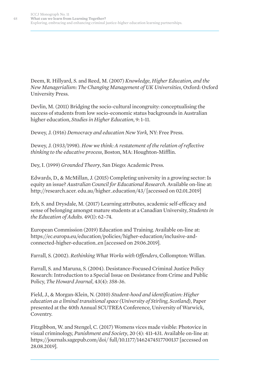Deem, R. Hillyard, S. and Reed, M. (2007) *Knowledge, Higher Education, and the New Managerialism: The Changing Management of UK Universities*, Oxford: Oxford University Press.

Devlin, M. (2011) Bridging the socio-cultural incongruity: conceptualising the success of students from low socio-economic status backgrounds in Australian higher education, *Studies in Higher Education*, 9: 1–11.

Dewey, J. (1916) *Democracy and education New York,* NY: Free Press.

Dewey, J. (1933/1998). *How we think: A restatement of the relation of reflective thinking to the educative process*, Boston, MA: Houghton-Mifflin.

Dey, I. (1999) *Grounded Theory*, San Diego: Academic Press.

Edwards, D., & McMillan, J. (2015) Completing university in a growing sector: Is equity an issue? *Australian Council for Educational Research*. Available on-line at: http://research.acer. edu.au/higher\_education/43/ [accessed on 02.01.2019]

Erb, S. and Drysdale, M. (2017) Learning attributes, academic self-efficacy and sense of belonging amongst mature students at a Canadian University, *Students in the Education of Adults.* 49(1): 62–74.

European Commission (2019) Education and Training. Available on-line at: https://ec.europa.eu/education/policies/higher-education/inclusive-andconnected-higher-education\_en [accessed on 29.06.2019].

Farrall, S. (2002). *Rethinking What Works with Offenders*, Collompton: Willan.

Farrall, S. and Maruna, S. (2004). Desistance-Focused Criminal Justice Policy Research: Introduction to a Special Issue on Desistance from Crime and Public Policy, *The Howard Journal*, 43(4): 358-36.

Field, J., & Morgan-Klein, N. (2010) *Student-hood and identification: Higher education as a liminal transitional space (University of Stirling, Scotland)*, Paper presented at the 40th Annual SCUTREA Conference, University of Warwick, Coventry.

Fitzgibbon, W. and Stengel, C. (2017) Womens vices made visible: Photovice in visual criminology, *Punishment and Society*, 20 (4): 411-431. Available on-line at: https://journals.sagepub.com/doi/ full/10.1177/1462474517700137 [accessed on 28.08.2019].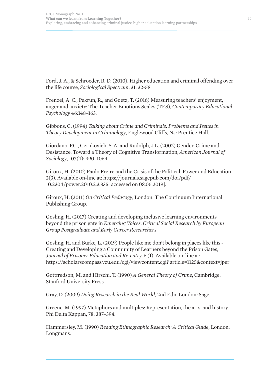Ford, J. A., & Schroeder, R. D. (2010). Higher education and criminal offending over the life course, *Sociological Spectrum*, 31: 32-58.

Frenzel, A. C., Pekrun, R., and Goetz, T. (2016) Measuring teachers' enjoyment, anger and anxiety: The Teacher Emotions Scales (TES), *Contemporary Educational Psychology* 46:148–163.

Gibbons, C. (1994) *Talking about Crime and Criminals: Problems and Issues in Theory Development in Criminology*, Englewood Cliffs, NJ: Prentice Hall.

Giordano, P.C., Cernkovich, S. A. and Rudolph, J.L. (2002) Gender, Crime and Desistance. Toward a Theory of Cognitive Transformation, *American Journal of Sociology*, 107(4): 990–1064.

Giroux, H. (2010) Paulo Freire and the Crisis of the Political, Power and Education 2(3). Available on-line at: https://journals.sagepub.com/doi/pdf/ 10.2304/power.2010.2.3.335 [accessed on 08.06.2019].

Giroux, H. (2011) *On Critical Pedagogy*, London: The Continuum International Publishing Group.

Gosling, H. (2017) Creating and developing inclusive learning environments beyond the prison gate in *Emerging Voices. Critical Social Research by European Group Postgraduate and Early Career Researchers*

Gosling, H. and Burke, L. (2019) People like me don't belong in places like this - Creating and Developing a Community of Learners beyond the Prison Gates, *Journal of Prisoner Education and Re-entry.* 6 (1). Available on-line at: https://scholarscompass.vcu.edu/cgi/viewcontent.cgi? article=1125&context=jper

Gottfredson, M. and Hirschi, T. (1990) *A General Theory of Crime*, Cambridge: Stanford University Press.

Gray, D. (2009) *Doing Research in the Real World*, 2nd Edn, London: Sage.

Greene, M. (1997) Metaphors and multiples: Representation, the arts, and history. Phi Delta Kappan, 78: 387–394.

Hammersley, M. (1990) *Reading Ethnographic Research: A Critical Guide*, London: Longmans.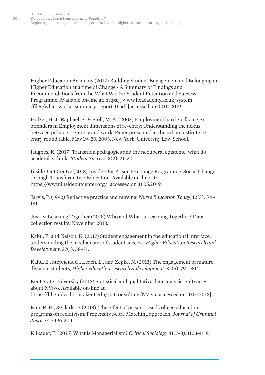Higher Education Academy (2012) Building Student Engagement and Belonging in Higher Education at a time of Change - A Summary of Findings and Recommendations from the What Works? Student Retention and Success Programme. Available on-line at: https://www.heacademy.ac.uk/system /files/what\_works\_summary\_report\_0.pdf [accessed on 02.01.2019].

Holzer, H. J., Raphael, S., & Stoll, M. A. (2003) Employment barriers facing exoffenders in Employment dimensions of re-entry: Understanding the nexus between prisoner re-entry and work, Paper presented at the urban institute reentry round table, May 19–20, 2003, New York: University Law School.

Hughes, K. (2017) Transition pedagogies and the neoliberal episteme: what do academics think? *Student Success*, 8(2): 21–30.

Inside-Out Centre (2018) Inside-Out Prison Exchange Programme. Social Change through Transformative Education. Available on-line at: https://www.insideoutcenter.org/ [accessed on 31.05.2019].

Jarvis, P. (1992) Reflective practice and nursing, *Nurse Education Today*, 12(3):174– 181.

Just Is: Learning Together (2018) Who and What is Learning Together? Data collection results: November 2018.

Kahu, E. and Nelson, K. (2017) Student engagement in the educational interface: understanding the mechanisms of student success, *Higher Education Research and Development*, 37(1): 58–71.

Kahu, E., Stephens, C., Leach, L., and Zepke, N. (2013) The engagement of mature distance students, *Higher education research & development*, 32(5) :791–804.

Kent State University (2018) Statistical and qualitative data analysis. Software: about NVivo. Available on-line at: https://libguides.library.kent.edu/statconsulting/NVivo [accessed on 10.07.2018].

Kim, R. H., & Clark, D. (2013). The effect of prison-based college education programs on recidivism: Propensity Score Matching approach, *Journal of Criminal Justice* 41: 196-204.

Klikauer, T. (2015) What is Managerialism? *Critical Sociology* 41(7–8): 1103–1119.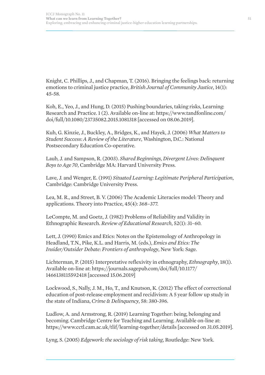Knight, C. Phillips, J., and Chapman, T. (2016). Bringing the feelings back: returning emotions to criminal justice practice, *British Journal of Community Justice*, 14(1): 45-58.

Koh, E., Yeo, J., and Hung, D. (2015) Pushing boundaries, taking risks, Learning: Research and Practice. 1 (2). Available on-line at: https://www.tandfonline.com/ doi/full/10.1080/23735082.2015.1081318 [accessed on 08.06.2019].

Kuh, G. Kinzie, J., Buckley, A., Bridges, K., and Hayek, J. (2006) *What Matters to Student Success: A Review of the Literature*, Washington, D.C.: National Postsecondary Education Co-operative.

Laub, J. and Sampson, R. (2003). *Shared Beginnings, Divergent Lives: Delinquent Boys to Age 70*, Cambridge MA: Harvard University Press.

Lave, J. and Wenger, E. (1991) *Situated Learning: Legitimate Peripheral Participation*, Cambridge: Cambridge University Press.

Lea, M. R., and Street, B. V. (2006) The Academic Literacies model: Theory and applications. Theory into Practice, 45(4): 368–377.

LeCompte, M. and Goetz, J. (1982) Problems of Reliability and Validity in Ethnographic Research. *Review of Educational Research*, 52(1): 31–60.

Lett, J. (1990) Emics and Etics: Notes on the Epistemology of Anthropology in Headland, T.N., Pike, K.L. and Harris, M. (eds.), *Emics and Etics: The Insider/Outsider Debate: Frontiers of anthropology*, New York: Sage.

Lichterman, P. (2015) Interpretative reflexivity in ethnography, *Ethnography*, 18(1). Available on-line at: https://journals.sagepub.com/doi/full/10.1177/ 1466138115592418 [accessed 15.06.2019]

Lockwood, S., Nally, J. M., Ho, T., and Knutson, K. (2012) The effect of correctional education of post-release employment and recidivism: A 5 year follow up study in the state of Indiana, *Crime & Delinquency*, 58: 380-396.

Ludlow, A. and Armstrong, R. (2019) Learning Together: being, belonging and becoming. Cambridge Centre for Teaching and Learning. Available on-line at: https://www.cctl.cam.ac.uk/tlif/learning-together/details [accessed on 31.05.2019].

Lyng, S. (2005) *Edgework: the sociology of risk taking*, Routledge: New York.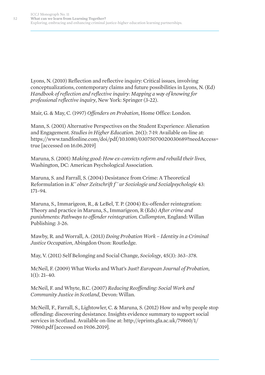Lyons, N. (2010) Reflection and reflective inquiry: Critical issues, involving conceptualizations, contemporary claims and future possibilities in Lyons, N. (Ed) *Handbook of reflection and reflective inquiry: Mapping a way of knowing for professional reflective inquiry*, New York: Springer (3-22).

Mair, G. & May, C. (1997) *Offenders on Probation*, Home Office: London.

Mann, S. (2001) Alternative Perspectives on the Student Experience: Alienation and Engagement. *Studies in Higher Education*. 26(1): 7-19. Available on-line at: https://www.tandfonline.com/doi/pdf/10.1080/03075070020030689?needAccess= true [accessed on 16.06.2019]

Maruna, S. (2001) *Making good: How ex-convicts reform and rebuild their lives*, Washington, DC: American Psychological Association.

Maruna, S. and Farrall, S. (2004) Desistance from Crime: A Theoretical Reformulation in *K¨ olner Zeitschrift f ¨ ur Soziologie und Sozialpsychologie* 43: 171–94.

Maruna, S., Immarigeon, R., & LeBel, T. P. (2004) Ex-offender reintegration: Theory and practice in Maruna, S., Immarigeon, R (Eds) *After crime and punishments: Pathways to offender reintegration. Cullompton*, England: Willan Publishing: 3-26.

Mawby, R. and Worrall, A. (2013) *Doing Probation Work – Identity in a Criminal Justice Occupation*, Abingdon Oxon: Routledge.

May, V. (2011) Self Belonging and Social Change, *Sociology*, 45(3): 363–378.

McNeil, F. (2009) What Works and What's Just? *European Journal of Probation*,  $1(1): 21-40.$ 

McNeil, F. and Whyte, B.C. (2007) *Reducing Reoffending: Social Work and Community Justice in Scotland*, Devon: Willan.

McNeill, F., Farrall, S., Lightowler, C. & Maruna, S. (2012) How and why people stop offending: discovering desistance. Insights evidence summary to support social services in Scotland. Available on-line at: http://eprints.gla.ac.uk/79860/1/ 79860.pdf [accessed on 19.06.2019].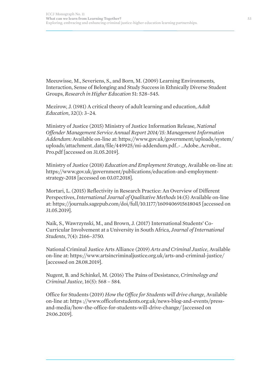Meeuwisse, M., Severiens, S., and Born, M. (2009) Learning Environments, Interaction, Sense of Belonging and Study Success in Ethnically Diverse Student Groups, *Research in Higher Education* 51: 528–545.

Mezirow, J. (1981) A critical theory of adult learning and education, *Adult Education*, 32(1): 3–24.

Ministry of Justice (2015) Ministry of Justice Information Release, *National Offender Management Service Annual Report 2014/15: Management Information Addendum:* Available on-line at: https://www.gov.uk/government/uploads/system/ uploads/attachment\_data/file/449925/mi-addendum.pdf\_- \_Adobe\_Acrobat\_ Pro.pdf [accessed on 31.05.2019].

Ministry of Justice (2018) *Education and Employment Strategy*, Available on-line at: https://www.gov.uk/government/publications/education-and-employmentstrategy-2018 [accessed on 03.07.2018].

Mortari, L. (2015) Reflectivity in Research Practice: An Overview of Different Perspectives, *International Journal of Qualitative Methods* 14:(5) Available on-line at: https://journals.sagepub.com/doi/full/10.1177/1609406915618045 [accessed on 31.05.2019].

Naik, S., Wawrzynski, M., and Brown, J. (2017) International Students' Co-Curricular Involvement at a University in South Africa, *Journal of International Students*, 7(4): 2166–3750.

National Criminal Justice Arts Alliance (2019) *Arts and Criminal Justice*, Available on-line at: https://www.artsincriminaljustice.org.uk/arts-and-criminal-justice/ [accessed on 28.08.2019].

Nugent, B. and Schinkel, M. (2016) The Pains of Desistance, *Criminology and Criminal Justice*, 16(5): 568 – 584.

Office for Students (2019) *How the Office for Students will drive change*, Available on-line at: https ://www.officeforstudents.org.uk/news-blog-and-events/pressand-media/how-the-office-for-students-will-drive-change/ [accessed on 29.06.2019].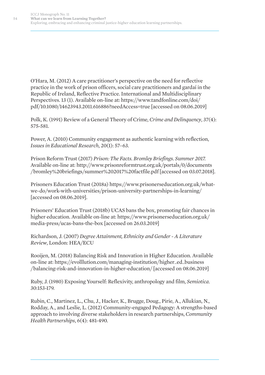O'Hara, M. (2012) A care practitioner's perspective on the need for reflective practice in the work of prison officers, social care practitioners and gardaí in the Republic of Ireland, Reflective Practice. International and Multidisciplinary Perspectives. 13 (1). Available on-line at: https://www.tandfonline.com/doi/ pdf/10.1080/14623943.2011.616886?needAccess=true [accessed on 08.06.2019]

Polk, K. (1991) Review of a General Theory of Crime, *Crime and Delinquency*, 37(4): 575-581.

Power, A. (2010) Community engagement as authentic learning with reflection, *Issues in Educational Research*, 20(1): 57–63.

Prison Reform Trust (2017) *Prison: The Facts. Bromley Briefings. Summer 2017.* Available on-line at: http://www.prisonreformtrust.org.uk/portals/0/documents /bromley%20briefings/summer%202017%20factfile.pdf [accessed on 03.07.2018].

Prisoners Education Trust (2018a) https://www.prisonerseducation.org.uk/whatwe-do/work-with-universities/prison-university-partnerships-in-learning/ [accessed on 08.06.2019].

Prisoners' Education Trust (2018b) UCAS bans the box, promoting fair chances in higher education. Available on-line at: https://www.prisonerseducation.org.uk/ media-press/ucas-bans-the-box [accessed on 26.03.2019]

Richardson, J. (2007) *Degree Attainment, Ethnicity and Gender - A Literature Review*, London: HEA/ECU

Rooijen, M. (2018) Balancing Risk and Innovation in Higher Education. Available on-line at: https://evolllution.com/managing-institution/higher\_ed\_business /balancing-risk-and-innovation-in-higher-education/ [accessed on 08.06.2019]

Ruby, J. (1980) Exposing Yourself: Reflexivity, anthropology and film, *Semiotica*. 30:153-179.

Rubin, C., Martinez, L., Chu, J., Hacker, K., Brugge, Doug., Pirie, A., Allukian, N., Rodday, A., and Leslie, L. (2012) Community-engaged Pedagogy: A strengths-based approach to involving diverse stakeholders in research partnerships, *Community Health Partnerships*, 6(4): 481-490.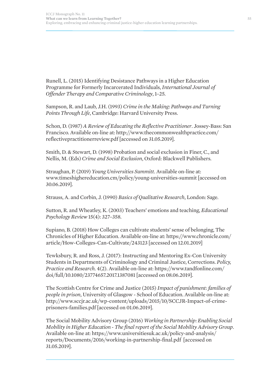Runell, L. (2015) Identifying Desistance Pathways in a Higher Education Programme for Formerly Incarcerated Individuals, *International Journal of Offender Therapy and Comparative Criminology*, 1–25.

Sampson, R. and Laub, J.H. (1993) *Crime in the Making: Pathways and Turning Points Through Life*, Cambridge: Harvard University Press.

Schon, D. (1987) *A Review of Educating the Reflective Practitioner*. Jossey-Bass: San Francisco. Available on-line at: http://www.thecommonwealthpractice.com/ reflectivepractitionerreview.pdf [accessed on 31.05.2019].

Smith, D. & Stewart, D. (1998) Probation and social exclusion in Finer, C., and Nellis, M. (Eds) *Crime and Social Exclusion*, Oxford: Blackwell Publishers.

Straughan, P. (2019) *Young Universities Summitt*. Available on-line at: www.timeshighereducation.cm/policy/young-universities-summit [accessed on 30.06.2019].

Strauss, A. and Corbin, J. (1990) *Basics of Qualitative Research*, London: Sage.

Sutton, R. and Wheatley, K. (2003) Teachers' emotions and teaching, *Educational Psychology Review* 15(4): 327–358.

Supiano, B. (2018) How Colleges can cultivate students' sense of belonging, The Chronicles of Higher Education. Available on-line at: https://www.chronicle.com/ article/How-Colleges-Can-Cultivate/243123 [accessed on 12.01.2019]

Tewksbury, R. and Ross, J. (2017): Instructing and Mentoring Ex-Con University Students in Departments of Criminology and Criminal Justice, Corrections. *Policy, Practice and Research*. 4(2). Available on-line at: https://www.tandfonline.com/ doi/full/10.1080/23774657.2017.1387081 [accessed on 08.06.2019].

The Scottish Centre for Crime and Justice (2015) *Impact of punishment: families of people in prison*, University of Glasgow - School of Education. Available on-line at: http://www.sccjr.ac.uk/wp-content/uploads/2015/10/SCCJR-Impact-of-crimeprisoners-families.pdf [accessed on 01.06.2019].

The Social Mobility Advisory Group (2016) *Working in Partnership: Enabling Social Mobility in Higher Education - The final report of the Social Mobility Advisory Group*. Available on-line at: https://www.universitiesuk.ac.uk/policy-and-analysis/ reports/Documents/2016/working-in-partnership-final.pdf [accessed on 31.05.2019].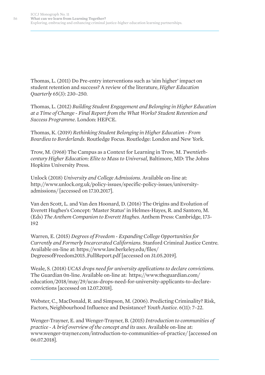Thomas, L. (2011) Do Pre-entry interventions such as 'aim higher' impact on student retention and success? A review of the literature, *Higher Education Quarterly* 65(3): 230–250.

Thomas, L. (2012) *Building Student Engagement and Belonging in Higher Education at a Time of Change - Final Report from the What Works? Student Retention and Success Programme*. London: HEFCE.

Thomas, K. (2019) *Rethinking Student Belonging in Higher Education - From Bourdieu to Borderlands*. Routledge Focus. Routledge: London and New York.

Trow, M. (1968) The Campus as a Context for Learning in Trow, M. *Twentiethcentury Higher Education: Elite to Mass to Universal*, Baltimore, MD: The Johns Hopkins University Press.

Unlock (2018) *University and College Admissions*. Available on-line at: http://www.unlock.org.uk/policy-issues/specific-policy-issues/universityadmissions/ [accessed on 17.10.2017].

Van den Scott, L. and Van den Hoonard, D. (2016) The Origins and Evolution of Everett Hughes's Concept: 'Master Status' in Helmes-Hayes, R. and Santoro, M. (Eds) *The Anthem Companion to Everett Hughes*. Anthem Press: Cambridge, 173- 192

Warren, E. (2015) *Degrees of Freedom - Expanding College Opportunities for Currently and Formerly Incarcerated Californians.* Stanford Criminal Justice Centre. Available on-line at: https://www.law.berkeley.edu/files/ DegreesofFreedom2015\_FullReport.pdf [accessed on 31.05.2019].

Weale, S. (2018) *UCAS drops need for university applications to declare convictions*. The Guardian 0n-line. Available on-line at: https://www.theguardian.com/ education/2018/may/29/ucas-drops-need-for-university-applicants-to-declareconvictions [accessed on 12.07.2018].

Webster, C., MacDonald, R. and Simpson, M. (2006). Predicting Criminality? Risk, Factors, Neighbourhood Influence and Desistance? *Youth Justice*. 6(11): 7–22.

Wenger-Trayner, E. and Wenger-Trayner, B. (2015) *Introduction to communities of practice - A brief overview of the concept and its uses*. Available on-line at: www.wenger-trayner.com/introduction-to-communities-of-practice/ [accessed on 06.07.2018].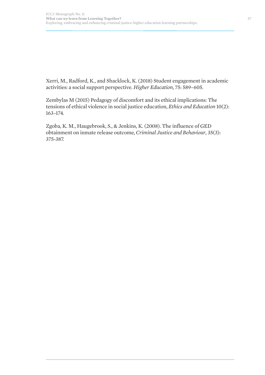Xerri, M., Radford, K., and Shacklock, K. (2018) Student engagement in academic activities: a social support perspective. *Higher Education*, 75: 589–605.

Zembylas M (2015) Pedagogy of discomfort and its ethical implications: The tensions of ethical violence in social justice education, *Ethics and Education* 10(2): 163–174.

Zgoba, K. M., Haugebrook, S., & Jenkins, K. (2008). The influence of GED obtainment on inmate release outcome, *Criminal Justice and Behaviour,* 35(3): 375-387.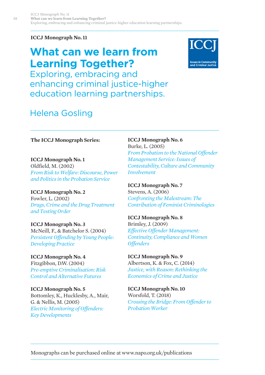**ICCJ Monograph No. 11**

# **What can we learn from Learning Together?**



Exploring, embracing and enhancing criminal justice-higher education learning partnerships.

# Helena Gosling

**The ICCJ Monograph Series:**

**ICCJ Monograph No. 1** Oldfield, M. (2002) *From Risk to Welfare: Discourse, Power and Politics in the Probation Service*

**ICCJ Monograph No. 2** Fowler, L. (2002) *Drugs, Crime and the Drug Treatment and Testing Order*

**ICCJ Monograph No. 3** McNeill, F., & Batchelor S. (2004) *Persistent Offending by Young People: Developing Practice*

**ICCJ Monograph No. 4** Fitzgibbon, D.W. (2004) *Pre-emptive Criminalisation: Risk Control and Alternative Futures*

**ICCJ Monograph No. 5** Bottomley, K., Hucklesby, A., Mair, G. & Nellis, M. (2005) *Electric Monitoring of Offenders: Key Developments*

**ICCJ Monograph No. 6** Burke, L. (2005) *From Probation to the National Offender Management Service: Issues of Contestability, Culture and Community Involvement*

**ICCJ Monograph No. 7** Stevens, A. (2006) *Confronting the Malestream: The Contribution of Feminist Criminologies*

**ICCJ Monograph No. 8** Brimley, J. (2009) *Effective Offender Management: Continuity, Compliance and Women Offenders*

**ICCJ Monograph No. 9** Albertson, K. & Fox, C. (2014) *Justice, with Reason: Rethinking the Economics of Crime and Justice*

**ICCJ Monograph No. 10** Worsfold, T. (2018) *Crossing the Bridge: From Offender to Probation Worker*

Monographs can be purchased online at www.napo.org.uk/publications